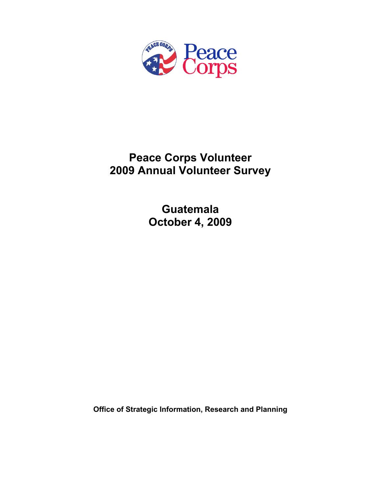

# **Peace Corps Volunteer 2009 Annual Volunteer Survey**

**Guatemala October 4, 2009** 

**Office of Strategic Information, Research and Planning**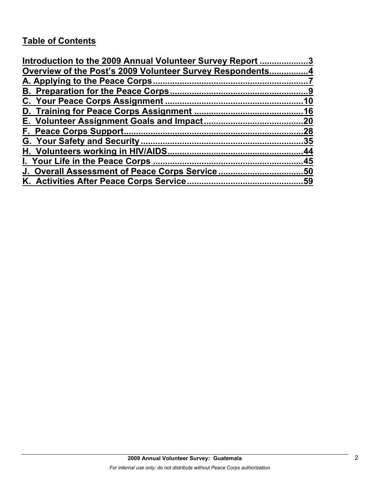# **Table of Contents**

| Introduction to the 2009 Annual Volunteer Survey Report 3 |     |
|-----------------------------------------------------------|-----|
| Overview of the Post's 2009 Volunteer Survey Respondents4 |     |
|                                                           |     |
|                                                           |     |
|                                                           |     |
|                                                           |     |
|                                                           |     |
|                                                           | .28 |
|                                                           |     |
|                                                           |     |
|                                                           |     |
|                                                           |     |
|                                                           |     |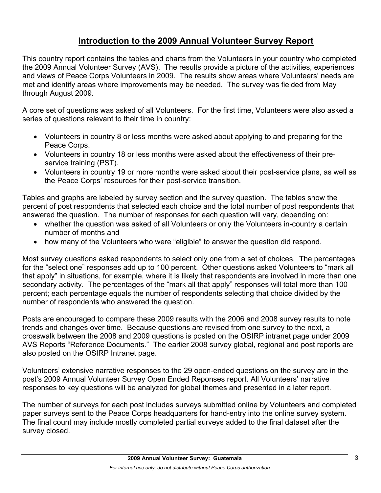# **Introduction to the 2009 Annual Volunteer Survey Report**

This country report contains the tables and charts from the Volunteers in your country who completed the 2009 Annual Volunteer Survey (AVS). The results provide a picture of the activities, experiences and views of Peace Corps Volunteers in 2009. The results show areas where Volunteers' needs are met and identify areas where improvements may be needed. The survey was fielded from May through August 2009.

A core set of questions was asked of all Volunteers. For the first time, Volunteers were also asked a series of questions relevant to their time in country:

- Volunteers in country 8 or less months were asked about applying to and preparing for the Peace Corps.
- Volunteers in country 18 or less months were asked about the effectiveness of their preservice training (PST).
- Volunteers in country 19 or more months were asked about their post-service plans, as well as the Peace Corps' resources for their post-service transition.

Tables and graphs are labeled by survey section and the survey question. The tables show the percent of post respondents that selected each choice and the total number of post respondents that answered the question. The number of responses for each question will vary, depending on:

- whether the question was asked of all Volunteers or only the Volunteers in-country a certain number of months and
- how many of the Volunteers who were "eligible" to answer the question did respond.

Most survey questions asked respondents to select only one from a set of choices. The percentages for the "select one" responses add up to 100 percent. Other questions asked Volunteers to "mark all that apply" in situations, for example, where it is likely that respondents are involved in more than one secondary activity. The percentages of the "mark all that apply" responses will total more than 100 percent; each percentage equals the number of respondents selecting that choice divided by the number of respondents who answered the question.

Posts are encouraged to compare these 2009 results with the 2006 and 2008 survey results to note trends and changes over time. Because questions are revised from one survey to the next, a crosswalk between the 2008 and 2009 questions is posted on the OSIRP intranet page under 2009 AVS Reports "Reference Documents." The earlier 2008 survey global, regional and post reports are also posted on the OSIRP Intranet page.

Volunteers' extensive narrative responses to the 29 open-ended questions on the survey are in the post's 2009 Annual Volunteer Survey Open Ended Reponses report. All Volunteers' narrative responses to key questions will be analyzed for global themes and presented in a later report.

The number of surveys for each post includes surveys submitted online by Volunteers and completed paper surveys sent to the Peace Corps headquarters for hand-entry into the online survey system. The final count may include mostly completed partial surveys added to the final dataset after the survey closed.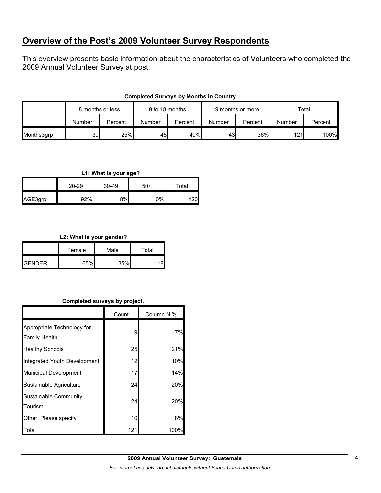## **Overview of the Post's 2009 Volunteer Survey Respondents**

This overview presents basic information about the characteristics of Volunteers who completed the 2009 Annual Volunteer Survey at post.

|            | 8 months or less |         | 9 to 18 months |         | 19 months or more |         | Total  |         |
|------------|------------------|---------|----------------|---------|-------------------|---------|--------|---------|
|            | Number           | Percent | Number         | Percent | Number            | Percent | Number | Percent |
| Months3grp | 30 <sup>1</sup>  | 25%     | 48             | 40%     | 43                | 36%     | 121    | 100%    |

## **Completed Surveys by Months in Country**

### **L1: What is your age?**

|         | 20-29 | $30 - 49$ | $50+$ | Total |  |
|---------|-------|-----------|-------|-------|--|
| AGE3grp | 92%   | 8%        | 0%    | 1201  |  |

## **L2: What is your gender?**

|               | Female | Male | Total |  |
|---------------|--------|------|-------|--|
| <b>GENDER</b> | 65%    | 35%  | 118   |  |

## **Completed surveys by project.**

|                                                    | Count | Column N % |
|----------------------------------------------------|-------|------------|
| Appropriate Technology for<br><b>Family Health</b> | 9     | 7%         |
| <b>Healthy Schools</b>                             | 25    | 21%        |
| Integrated Youth Development                       | 12    | 10%        |
| Municipal Development                              | 17    | 14%        |
| Sustainable Agriculture                            | 24    | 20%        |
| Sustainable Community<br>Tourism                   | 24    | 20%        |
| Other. Please specify                              | 10    | 8%         |
| Total                                              | 121   | 100%       |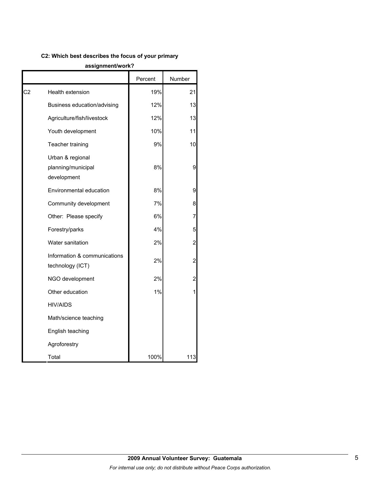## **C2: Which best describes the focus of your primary**

#### **assignment/work?**

|    |                                                       | Percent | Number         |
|----|-------------------------------------------------------|---------|----------------|
| C2 | Health extension                                      | 19%     | 21             |
|    | Business education/advising                           | 12%     | 13             |
|    | Agriculture/fish/livestock                            | 12%     | 13             |
|    | Youth development                                     | 10%     | 11             |
|    | Teacher training                                      | 9%      | 10             |
|    | Urban & regional<br>planning/municipal<br>development | 8%      | 9              |
|    | Environmental education                               | 8%      | 9              |
|    | Community development                                 | 7%      | 8              |
|    | Other: Please specify                                 | 6%      | 7              |
|    | Forestry/parks                                        | 4%      | 5              |
|    | Water sanitation                                      | 2%      | 2              |
|    | Information & communications<br>technology (ICT)      | 2%      | $\overline{c}$ |
|    | NGO development                                       | 2%      | 2              |
|    | Other education                                       | 1%      | 1              |
|    | <b>HIV/AIDS</b>                                       |         |                |
|    | Math/science teaching                                 |         |                |
|    | English teaching                                      |         |                |
|    | Agroforestry                                          |         |                |
|    | Total                                                 | 100%    | 113            |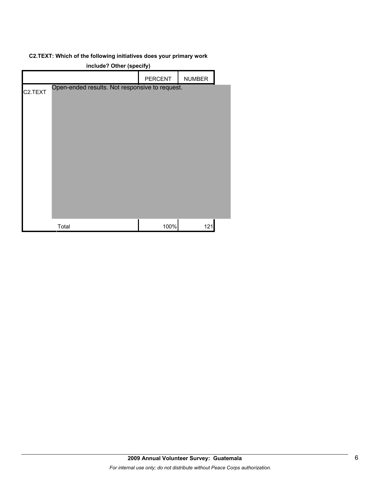## **C2.TEXT: Which of the following initiatives does your primary work**

| include? Other (specify) |                                                |         |               |  |  |
|--------------------------|------------------------------------------------|---------|---------------|--|--|
|                          |                                                | PERCENT | <b>NUMBER</b> |  |  |
| C <sub>2</sub> .TEXT     | Open-ended results. Not responsive to request. |         |               |  |  |
|                          |                                                |         |               |  |  |
|                          | Total                                          | 100%    |               |  |  |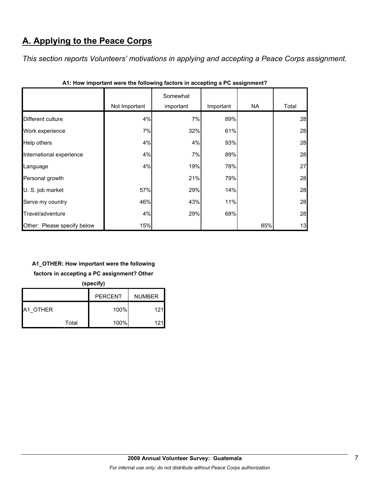# **A. Applying to the Peace Corps**

*This section reports Volunteers' motivations in applying and accepting a Peace Corps assignment.* 

|                             | Not Important | Somewhat<br>important | Important | NA  | Total |
|-----------------------------|---------------|-----------------------|-----------|-----|-------|
| Different culture           | 4%            | 7%                    | 89%       |     | 28    |
| Work experience             | 7%            | 32%                   | 61%       |     | 28    |
| Help others                 | 4%            | 4%                    | 93%       |     | 28    |
| International experience    | 4%            | 7%                    | 89%       |     | 28    |
| Language                    | 4%            | 19%                   | 78%       |     | 27    |
| Personal growth             |               | 21%                   | 79%       |     | 28    |
| U. S. job market            | 57%           | 29%                   | 14%       |     | 28    |
| Serve my country            | 46%           | 43%                   | 11%       |     | 28    |
| Travel/adventure            | 4%            | 29%                   | 68%       |     | 28    |
| Other: Please specify below | 15%           |                       |           | 85% | 13    |

**A1: How important were the following factors in accepting a PC assignment?**

## **A1\_OTHER: How important were the following**

**factors in accepting a PC assignment? Other** 

**(specify)**

|                 |       | <b>PERCENT</b> | <b>NUMBER</b> |
|-----------------|-------|----------------|---------------|
| <b>A1 OTHER</b> |       | 100%           | 121           |
|                 | Total | 100%           | 121           |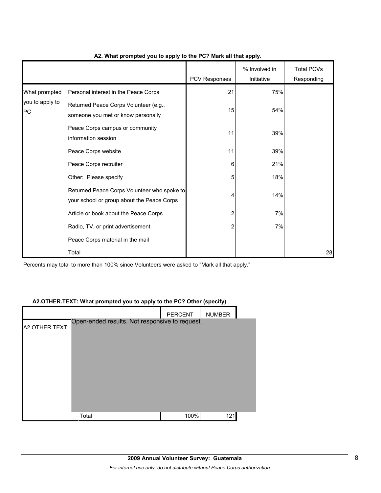|                       |                                                                                           | PCV Responses | % Involved in<br>Initiative | <b>Total PCVs</b><br>Responding |
|-----------------------|-------------------------------------------------------------------------------------------|---------------|-----------------------------|---------------------------------|
| What prompted         | Personal interest in the Peace Corps                                                      | 21            | 75%                         |                                 |
| you to apply to<br>PC | Returned Peace Corps Volunteer (e.g.,<br>someone you met or know personally               | 15            | 54%                         |                                 |
|                       | Peace Corps campus or community<br>information session                                    | 11            | 39%                         |                                 |
|                       | Peace Corps website                                                                       | 11            | 39%                         |                                 |
|                       | Peace Corps recruiter                                                                     | 6             | 21%                         |                                 |
|                       | Other: Please specify                                                                     | 5             | 18%                         |                                 |
|                       | Returned Peace Corps Volunteer who spoke to<br>your school or group about the Peace Corps | 4             | 14%                         |                                 |
|                       | Article or book about the Peace Corps                                                     | 2             | 7%                          |                                 |
|                       | Radio, TV, or print advertisement                                                         | 2             | 7%                          |                                 |
|                       | Peace Corps material in the mail                                                          |               |                             |                                 |
|                       | Total                                                                                     |               |                             | 28                              |

### **A2. What prompted you to apply to the PC? Mark all that apply.**

Percents may total to more than 100% since Volunteers were asked to "Mark all that apply."

#### **A2.OTHER.TEXT: What prompted you to apply to the PC? Other (specify)**

|               |                                                | PERCENT | <b>NUMBER</b> |  |
|---------------|------------------------------------------------|---------|---------------|--|
| A2.OTHER.TEXT | Open-ended results. Not responsive to request. |         |               |  |
|               |                                                |         |               |  |
|               |                                                |         |               |  |
|               |                                                |         |               |  |
|               |                                                |         |               |  |
|               |                                                |         |               |  |
|               |                                                |         |               |  |
|               | Total                                          | 100%    | 121           |  |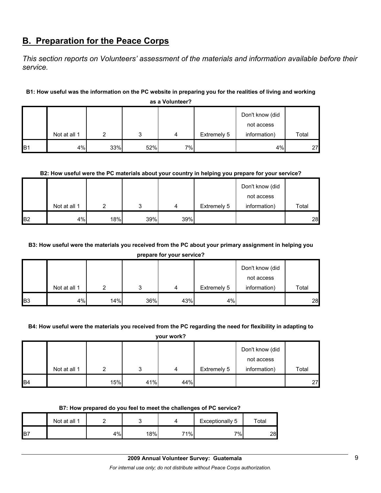## **B. Preparation for the Peace Corps**

*This section reports on Volunteers' assessment of the materials and information available before their service.* 

## **B1: How useful was the information on the PC website in preparing you for the realities of living and working**

|            |              |     |     |    |             | Don't know (did |       |
|------------|--------------|-----|-----|----|-------------|-----------------|-------|
|            |              |     |     |    |             | not access      |       |
|            | Not at all 1 | ົ   |     | 4  | Extremely 5 | information)    | Total |
| <b>B</b> 1 | 4%           | 33% | 52% | 7% |             | 4%              | 27    |

**as a Volunteer?**

## **B2: How useful were the PC materials about your country in helping you prepare for your service?**

|                 |              |     |     |     |             | Don't know (did |       |
|-----------------|--------------|-----|-----|-----|-------------|-----------------|-------|
|                 |              |     |     |     |             | not access      |       |
|                 | Not at all 1 | C   | ◠   | 4   | Extremely 5 | information)    | Total |
| IB <sub>2</sub> | 4%           | 18% | 39% | 39% |             |                 | 28    |

## **B3: How useful were the materials you received from the PC about your primary assignment in helping you**

**prepare for your service?**

|            |              |     |     |     |             | Don't know (did |       |
|------------|--------------|-----|-----|-----|-------------|-----------------|-------|
|            |              |     |     |     |             | not access      |       |
|            | Not at all 1 |     | ົ   | 4   | Extremely 5 | information)    | Total |
| <b>B</b> 3 | 4%           | 14% | 36% | 43% | 4%          |                 | 28    |

#### **B4: How useful were the materials you received from the PC regarding the need for flexibility in adapting to**

**your work?**

|                 |              |     |     |     |             | Don't know (did |       |
|-----------------|--------------|-----|-----|-----|-------------|-----------------|-------|
|                 |              |     |     |     |             | not access      |       |
|                 | Not at all 1 |     |     | 4   | Extremely 5 | information)    | Total |
| IB <sub>4</sub> |              | 15% | 41% | 44% |             |                 | 27    |

#### **B7: How prepared do you feel to meet the challenges of PC service?**

|                 | Not at all 1 |    |     |     | Exceptionally 5 | $\tau$ otal |
|-----------------|--------------|----|-----|-----|-----------------|-------------|
| IB <sub>7</sub> |              | 4% | 18% | 71% | 7%              | 28          |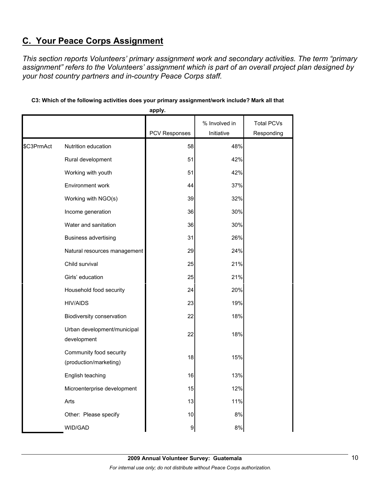# **C. Your Peace Corps Assignment**

*This section reports Volunteers' primary assignment work and secondary activities. The term "primary assignment" refers to the Volunteers' assignment which is part of an overall project plan designed by your host country partners and in-country Peace Corps staff.* 

|            |                                                   | apply.        |               |                   |
|------------|---------------------------------------------------|---------------|---------------|-------------------|
|            |                                                   |               | % Involved in | <b>Total PCVs</b> |
|            |                                                   | PCV Responses | Initiative    | Responding        |
| \$C3PrmAct | Nutrition education                               | 58            | 48%           |                   |
|            | Rural development                                 | 51            | 42%           |                   |
|            | Working with youth                                | 51            | 42%           |                   |
|            | Environment work                                  | 44            | 37%           |                   |
|            | Working with NGO(s)                               | 39            | 32%           |                   |
|            | Income generation                                 | 36            | 30%           |                   |
|            | Water and sanitation                              | 36            | 30%           |                   |
|            | <b>Business advertising</b>                       | 31            | 26%           |                   |
|            | Natural resources management                      | 29            | 24%           |                   |
|            | Child survival                                    | 25            | 21%           |                   |
|            | Girls' education                                  | 25            | 21%           |                   |
|            | Household food security                           | 24            | 20%           |                   |
|            | <b>HIV/AIDS</b>                                   | 23            | 19%           |                   |
|            | Biodiversity conservation                         | 22            | 18%           |                   |
|            | Urban development/municipal<br>development        | 22            | 18%           |                   |
|            | Community food security<br>(production/marketing) | 18            | 15%           |                   |
|            | English teaching                                  | 16            | 13%           |                   |
|            | Microenterprise development                       | 15            | 12%           |                   |
|            | Arts                                              | 13            | 11%           |                   |
|            | Other: Please specify                             | 10            | $8\%$         |                   |
|            | <b>WID/GAD</b>                                    | 9             | 8%            |                   |

## **C3: Which of the following activities does your primary assignment/work include? Mark all that**

**2009 Annual Volunteer Survey: Guatemala**  *For internal use only; do not distribute without Peace Corps authorization.*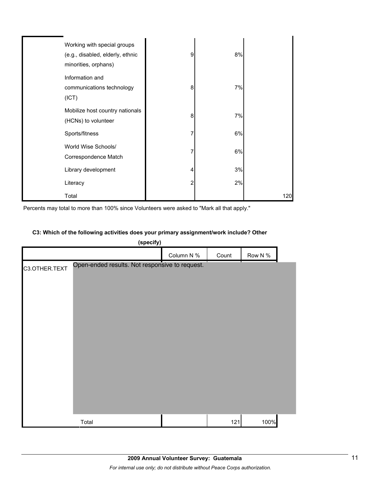| Working with special groups<br>(e.g., disabled, elderly, ethnic<br>minorities, orphans) | 9 | 8% |     |
|-----------------------------------------------------------------------------------------|---|----|-----|
| Information and<br>communications technology<br>(ICT)                                   | 8 | 7% |     |
| Mobilize host country nationals<br>(HCNs) to volunteer                                  | 8 | 7% |     |
| Sports/fitness                                                                          |   | 6% |     |
| World Wise Schools/<br>Correspondence Match                                             |   | 6% |     |
| Library development                                                                     | 4 | 3% |     |
| Literacy                                                                                |   | 2% |     |
| Total                                                                                   |   |    | 120 |

Percents may total to more than 100% since Volunteers were asked to "Mark all that apply."

#### **C3: Which of the following activities does your primary assignment/work include? Other**

| (specify)     |                                                |            |       |         |  |  |  |
|---------------|------------------------------------------------|------------|-------|---------|--|--|--|
|               |                                                | Column N % | Count | Row N % |  |  |  |
| C3.OTHER.TEXT | Open-ended results. Not responsive to request. |            |       |         |  |  |  |
|               | Total                                          |            | 121   | 100%    |  |  |  |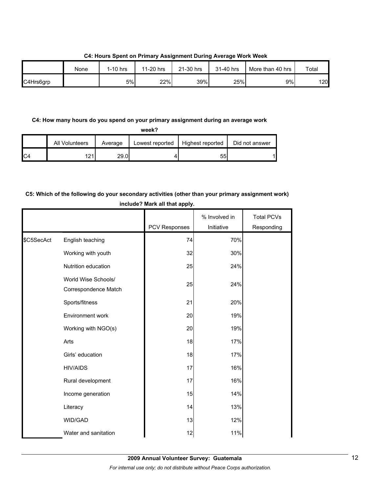|           | None | $1-10$ hrs | 11-20 hrs | 21-30 hrs | 31-40 hrs | More than 40 hrs | Total |
|-----------|------|------------|-----------|-----------|-----------|------------------|-------|
| C4Hrs6grp |      | 5%         | 22%       | 39%       | 25%       | 9%               | 120   |

**C4: Hours Spent on Primary Assignment During Average Work Week**

## **C4: How many hours do you spend on your primary assignment during an average work**

**week?**

|                | All Volunteers | Average | Lowest reported | Highest reported | Did not answer |
|----------------|----------------|---------|-----------------|------------------|----------------|
| C <sub>4</sub> | 121.           | 29.0    |                 | 55               |                |

## **C5: Which of the following do your secondary activities (other than your primary assignment work) include? Mark all that apply.**

|            |                                             | PCV Responses | % Involved in<br>Initiative | <b>Total PCVs</b><br>Responding |
|------------|---------------------------------------------|---------------|-----------------------------|---------------------------------|
| \$C5SecAct | English teaching                            | 74            | 70%                         |                                 |
|            | Working with youth                          | 32            | 30%                         |                                 |
|            | Nutrition education                         | 25            | 24%                         |                                 |
|            | World Wise Schools/<br>Correspondence Match | 25            | 24%                         |                                 |
|            | Sports/fitness                              | 21            | 20%                         |                                 |
|            | Environment work                            | 20            | 19%                         |                                 |
|            | Working with NGO(s)                         | 20            | 19%                         |                                 |
|            | Arts                                        | 18            | 17%                         |                                 |
|            | Girls' education                            | 18            | 17%                         |                                 |
|            | <b>HIV/AIDS</b>                             | 17            | 16%                         |                                 |
|            | Rural development                           | 17            | 16%                         |                                 |
|            | Income generation                           | 15            | 14%                         |                                 |
|            | Literacy                                    | 14            | 13%                         |                                 |
|            | WID/GAD                                     | 13            | 12%                         |                                 |
|            | Water and sanitation                        | 12            | 11%                         |                                 |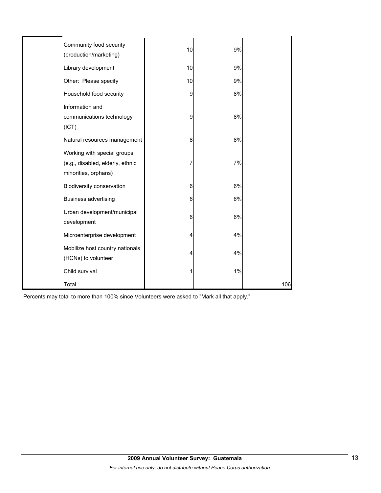| Community food security<br>(production/marketing)                                       | 10 | 9% |     |
|-----------------------------------------------------------------------------------------|----|----|-----|
| Library development                                                                     | 10 | 9% |     |
| Other: Please specify                                                                   | 10 | 9% |     |
| Household food security                                                                 | 9  | 8% |     |
| Information and<br>communications technology<br>(ICT)                                   | 9  | 8% |     |
| Natural resources management                                                            | 8  | 8% |     |
| Working with special groups<br>(e.g., disabled, elderly, ethnic<br>minorities, orphans) | 7  | 7% |     |
| Biodiversity conservation                                                               | 6  | 6% |     |
| <b>Business advertising</b>                                                             | 6  | 6% |     |
| Urban development/municipal<br>development                                              | 6  | 6% |     |
| Microenterprise development                                                             | 4  | 4% |     |
| Mobilize host country nationals<br>(HCNs) to volunteer                                  | 4  | 4% |     |
| Child survival                                                                          |    | 1% |     |
| Total                                                                                   |    |    | 106 |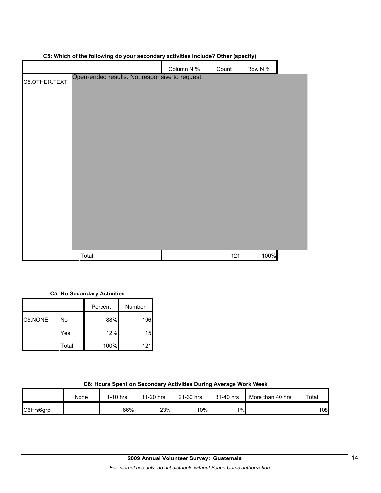|               |                                                | Column N % | Count | Row N % |  |
|---------------|------------------------------------------------|------------|-------|---------|--|
| C5.OTHER.TEXT | Open-ended results. Not responsive to request. |            |       |         |  |
|               |                                                |            |       |         |  |
|               |                                                |            |       |         |  |
|               |                                                |            |       |         |  |
|               |                                                |            |       |         |  |
|               |                                                |            |       |         |  |
|               |                                                |            |       |         |  |
|               |                                                |            |       |         |  |
|               |                                                |            |       |         |  |
|               |                                                |            |       |         |  |
|               |                                                |            |       |         |  |
|               |                                                |            |       |         |  |
|               |                                                |            |       |         |  |
|               |                                                |            |       |         |  |
|               |                                                |            |       |         |  |
|               |                                                |            |       |         |  |
|               |                                                |            |       |         |  |
|               |                                                |            |       |         |  |
|               |                                                |            |       |         |  |
|               |                                                |            |       |         |  |
|               |                                                |            |       |         |  |
|               |                                                |            |       |         |  |
|               | Total                                          |            | 121   | 100%    |  |

## **C5: Which of the following do your secondary activities include? Other (specify)**

## **C5: No Secondary Activities**

|         |       | Percent | Number |
|---------|-------|---------|--------|
| C5.NONE | No    | 88%     | 106    |
|         | Yes   | 12%     | 15     |
|         | Total | 100%    | 121    |

## **C6: Hours Spent on Secondary Activities During Average Work Week**

|           | None | l-10 hrs | 11-20 hrs | 21-30 hrs | 31-40 hrs | More than 40 hrs | Total |
|-----------|------|----------|-----------|-----------|-----------|------------------|-------|
| C6Hrs6grp |      | 66%      | 23%       | 10%       | $1\%$     |                  | 108   |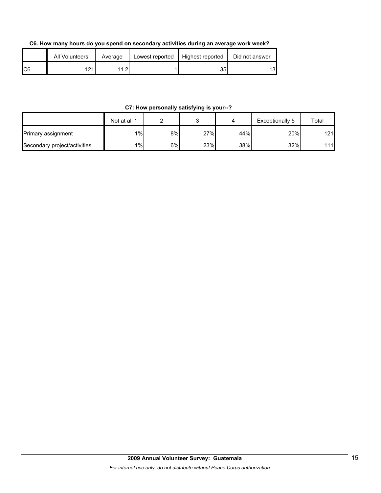**C6. How many hours do you spend on secondary activities during an average work week?**

|     | <b>All Volunteers</b> | Average | Lowest reported | Highest reported | Did not answer |
|-----|-----------------------|---------|-----------------|------------------|----------------|
| IC6 | 101                   |         |                 | 35               | 13             |

**C7: How personally satisfying is your--?**

|                              | Not at all 1 |     |     |     | Exceptionally 5 | Total |
|------------------------------|--------------|-----|-----|-----|-----------------|-------|
| Primary assignment           | 1%           | 8%l | 27% | 44% | 20%             | 121   |
| Secondary project/activities | $1\%$        | 6%  | 23% | 38% | 32%             | 111   |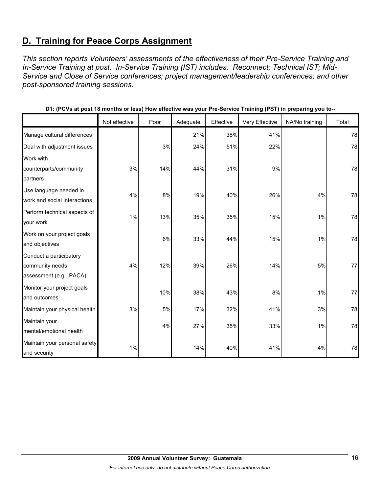# **D. Training for Peace Corps Assignment**

*This section reports Volunteers' assessments of the effectiveness of their Pre-Service Training and In-Service Training at post. In-Service Training (IST) includes: Reconnect; Technical IST; Mid-Service and Close of Service conferences; project management/leadership conferences; and other post-sponsored training sessions.* 

|                                               | Not effective | Poor  | Adequate | Effective | Very Effective | NA/No training | Total |
|-----------------------------------------------|---------------|-------|----------|-----------|----------------|----------------|-------|
| Manage cultural differences                   |               |       | 21%      | 38%       | 41%            |                | 78    |
| Deal with adjustment issues                   |               | 3%    | 24%      | 51%       | 22%            |                | 78    |
| Work with                                     |               |       |          |           |                |                |       |
| counterparts/community                        | 3%            | 14%   | 44%      | 31%       | 9%             |                | 78    |
| partners                                      |               |       |          |           |                |                |       |
| Use language needed in                        | 4%            | $8\%$ | 19%      | 40%       | 26%            | 4%             | 78    |
| work and social interactions                  |               |       |          |           |                |                |       |
| Perform technical aspects of                  | $1\%$         | 13%   | 35%      | 35%       | 15%            | 1%             | 78    |
| your work                                     |               |       |          |           |                |                |       |
| Work on your project goals                    |               | 6%    | 33%      | 44%       | 15%            | 1%             | 78    |
| and objectives                                |               |       |          |           |                |                |       |
| Conduct a participatory                       |               |       |          |           |                |                |       |
| community needs                               | 4%            | 12%   | 39%      | 26%       | 14%            | 5%             | 77    |
| assessment (e.g., PACA)                       |               |       |          |           |                |                |       |
| Monitor your project goals                    |               |       |          |           |                |                |       |
| and outcomes                                  |               | 10%   | 38%      | 43%       | 8%             | 1%             | 77    |
| Maintain your physical health                 | 3%            | 5%    | 17%      | 32%       | 41%            | 3%             | 78    |
| Maintain your                                 |               |       |          |           |                |                |       |
| mental/emotional health                       |               | 4%    | 27%      | 35%       | 33%            | 1%             | 78    |
| Maintain your personal safety<br>and security | 1%            |       | 14%      | 40%       | 41%            | 4%             | 78    |

**D1: (PCVs at post 18 months or less) How effective was your Pre-Service Training (PST) in preparing you to--**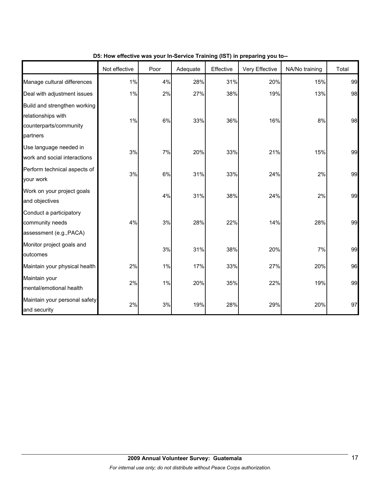|                                                                                          | Not effective | Poor | Adequate | Effective | Very Effective | NA/No training | Total |
|------------------------------------------------------------------------------------------|---------------|------|----------|-----------|----------------|----------------|-------|
| Manage cultural differences                                                              | 1%            | 4%   | 28%      | 31%       | 20%            | 15%            | 99    |
| Deal with adjustment issues                                                              | $1\%$         | 2%   | 27%      | 38%       | 19%            | 13%            | 98    |
| Build and strengthen working<br>relationships with<br>counterparts/community<br>partners | 1%            | 6%   | 33%      | 36%       | 16%            | 8%             | 98    |
| Use language needed in<br>work and social interactions                                   | 3%            | 7%   | 20%      | 33%       | 21%            | 15%            | 99    |
| Perform technical aspects of<br>your work                                                | 3%            | 6%   | 31%      | 33%       | 24%            | 2%             | 99    |
| Work on your project goals<br>and objectives                                             |               | 4%   | 31%      | 38%       | 24%            | 2%             | 99    |
| Conduct a participatory<br>community needs<br>assessment (e.g., PACA)                    | 4%            | 3%   | 28%      | 22%       | 14%            | 28%            | 99    |
| Monitor project goals and<br>outcomes                                                    |               | 3%   | 31%      | 38%       | 20%            | 7%             | 99    |
| Maintain your physical health                                                            | 2%            | 1%   | 17%      | 33%       | 27%            | 20%            | 96    |
| Maintain your<br>mental/emotional health                                                 | 2%            | 1%   | 20%      | 35%       | 22%            | 19%            | 99    |
| Maintain your personal safety<br>and security                                            | 2%            | $3%$ | 19%      | 28%       | 29%            | 20%            | 97    |

**D5: How effective was your In-Service Training (IST) in preparing you to--**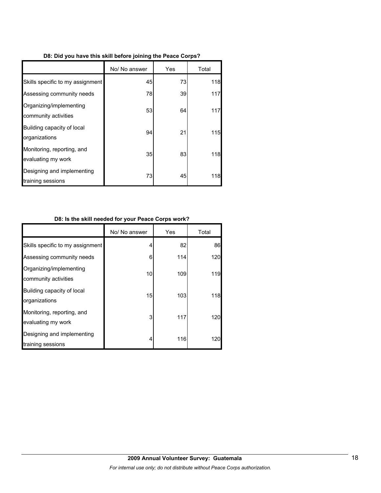| D8: Did you have this skill before joining the Peace Corps? |
|-------------------------------------------------------------|
|-------------------------------------------------------------|

|                                                  | No/ No answer | Yes | Total |
|--------------------------------------------------|---------------|-----|-------|
| Skills specific to my assignment                 | 45            | 73  | 118   |
| Assessing community needs                        | 78            | 39  | 117   |
| Organizing/implementing<br>community activities  | 53            | 64  | 117   |
| Building capacity of local<br>organizations      | 94            | 21  | 115   |
| Monitoring, reporting, and<br>evaluating my work | 35            | 83  | 118   |
| Designing and implementing<br>training sessions  | 73            | 45  | 118   |

## **D8: Is the skill needed for your Peace Corps work?**

|                                                  | No/ No answer | Yes | Total |
|--------------------------------------------------|---------------|-----|-------|
| Skills specific to my assignment                 | 4             | 82  | 86    |
| Assessing community needs                        | 6             | 114 | 120   |
| Organizing/implementing<br>community activities  | 10            | 109 | 119   |
| Building capacity of local<br>organizations      | 15            | 103 | 118   |
| Monitoring, reporting, and<br>evaluating my work | 3             | 117 | 120   |
| Designing and implementing<br>training sessions  | 4             | 116 | 120   |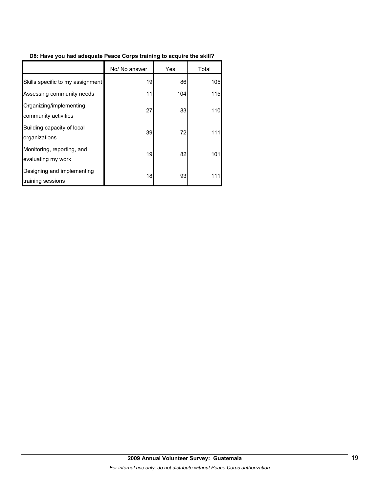### **D8: Have you had adequate Peace Corps training to acquire the skill?**

|                                                  | No/ No answer | Yes | Total |
|--------------------------------------------------|---------------|-----|-------|
| Skills specific to my assignment                 | 19            | 86  | 105   |
| Assessing community needs                        | 11            | 104 | 115   |
| Organizing/implementing<br>community activities  | 27            | 83  | 110   |
| Building capacity of local<br>organizations      | 39            | 72  | 111   |
| Monitoring, reporting, and<br>evaluating my work | 19            | 82  | 101   |
| Designing and implementing<br>training sessions  | 18            | 93  |       |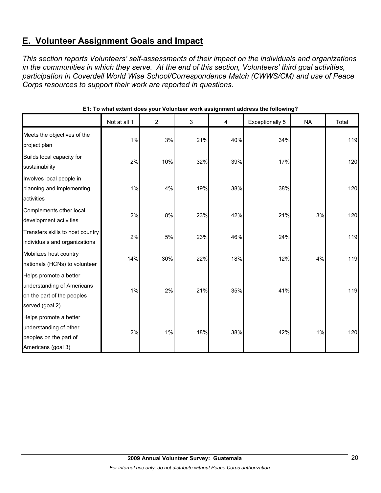# **E. Volunteer Assignment Goals and Impact**

*This section reports Volunteers' self-assessments of their impact on the individuals and organizations in the communities in which they serve. At the end of this section, Volunteers' third goal activities, participation in Coverdell World Wise School/Correspondence Match (CWWS/CM) and use of Peace Corps resources to support their work are reported in questions.* 

|                                                                                                       | Not at all 1 | $\overline{2}$ | 3   | 4   | <b>Exceptionally 5</b> | <b>NA</b> | Total |
|-------------------------------------------------------------------------------------------------------|--------------|----------------|-----|-----|------------------------|-----------|-------|
| Meets the objectives of the<br>project plan                                                           | 1%           | 3%             | 21% | 40% | 34%                    |           | 119   |
| Builds local capacity for<br>sustainability                                                           | 2%           | 10%            | 32% | 39% | 17%                    |           | 120   |
| Involves local people in<br>planning and implementing<br>activities                                   | 1%           | 4%             | 19% | 38% | 38%                    |           | 120   |
| Complements other local<br>development activities                                                     | 2%           | 8%             | 23% | 42% | 21%                    | 3%        | 120   |
| Transfers skills to host country<br>individuals and organizations                                     | 2%           | 5%             | 23% | 46% | 24%                    |           | 119   |
| Mobilizes host country<br>nationals (HCNs) to volunteer                                               | 14%          | 30%            | 22% | 18% | 12%                    | 4%        | 119   |
| Helps promote a better<br>understanding of Americans<br>on the part of the peoples<br>served (goal 2) | 1%           | 2%             | 21% | 35% | 41%                    |           | 119   |
| Helps promote a better<br>understanding of other<br>peoples on the part of<br>Americans (goal 3)      | 2%           | $1\%$          | 18% | 38% | 42%                    | 1%        | 120   |

## **E1: To what extent does your Volunteer work assignment address the following?**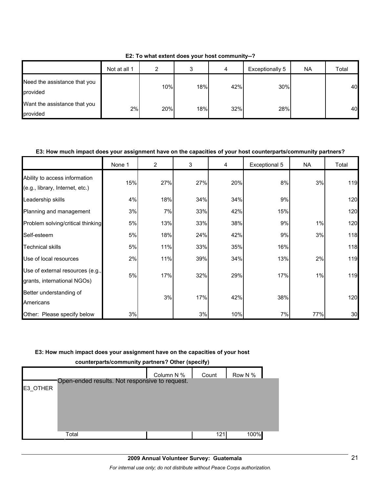|                                          | Not at all 1 | າ   | J   | 4   | Exceptionally 5 | <b>NA</b> | Total |
|------------------------------------------|--------------|-----|-----|-----|-----------------|-----------|-------|
| Need the assistance that you<br>provided |              | 10% | 18% | 42% | 30%             |           | 40    |
| Want the assistance that you<br>provided | 2%           | 20% | 18% | 32% | 28%             |           | 40    |

**E2: To what extent does your host community--?**

## **E3: How much impact does your assignment have on the capacities of your host counterparts/community partners?**

|                                                                  | None 1 | $\overline{2}$ | 3   | 4   | Exceptional 5 | NA  | Total |
|------------------------------------------------------------------|--------|----------------|-----|-----|---------------|-----|-------|
| Ability to access information<br>(e.g., library, Internet, etc.) | 15%    | 27%            | 27% | 20% | 8%            | 3%  | 119   |
| Leadership skills                                                | 4%     | 18%            | 34% | 34% | 9%            |     | 120   |
| Planning and management                                          | 3%     | 7%             | 33% | 42% | 15%           |     | 120   |
| Problem solving/critical thinking                                | 5%     | 13%            | 33% | 38% | 9%            | 1%  | 120   |
| Self-esteem                                                      | 5%     | 18%            | 24% | 42% | 9%            | 3%  | 118   |
| <b>Technical skills</b>                                          | 5%     | 11%            | 33% | 35% | 16%           |     | 118   |
| Use of local resources                                           | 2%     | 11%            | 39% | 34% | 13%           | 2%  | 119   |
| Use of external resources (e.g.,<br>grants, international NGOs)  | 5%     | 17%            | 32% | 29% | 17%           | 1%  | 119   |
| Better understanding of<br>Americans                             |        | 3%             | 17% | 42% | 38%           |     | 120   |
| Other: Please specify below                                      | 3%     |                | 3%  | 10% | 7%            | 77% | 30    |

#### **E3: How much impact does your assignment have on the capacities of your host**

|          | counterparts/community partners: Other (specify) |            |       |         |  |
|----------|--------------------------------------------------|------------|-------|---------|--|
|          |                                                  | Column N % | Count | Row N % |  |
|          | Open-ended results. Not responsive to request.   |            |       |         |  |
| E3 OTHER |                                                  |            |       |         |  |
|          |                                                  |            |       |         |  |
|          |                                                  |            |       |         |  |
|          |                                                  |            |       |         |  |
|          |                                                  |            |       |         |  |
|          |                                                  |            |       |         |  |
|          | Total                                            |            | 121   | 100%    |  |

**counterparts/community partners? Other (specify)**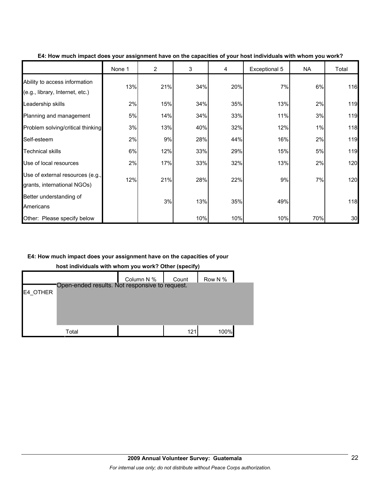|                                                                  | None 1 | $\overline{2}$ | 3   | 4   | Exceptional 5 | NA  | Total |
|------------------------------------------------------------------|--------|----------------|-----|-----|---------------|-----|-------|
| Ability to access information<br>(e.g., library, Internet, etc.) | 13%    | 21%            | 34% | 20% | 7%            | 6%  | 116   |
| Leadership skills                                                | 2%     | 15%            | 34% | 35% | 13%           | 2%  | 119   |
| Planning and management                                          | 5%     | 14%            | 34% | 33% | 11%           | 3%  | 119   |
| Problem solving/critical thinking                                | 3%     | 13%            | 40% | 32% | 12%           | 1%  | 118   |
| Self-esteem                                                      | 2%     | 9%             | 28% | 44% | 16%           | 2%  | 119   |
| <b>Technical skills</b>                                          | 6%     | 12%            | 33% | 29% | 15%           | 5%  | 119   |
| Use of local resources                                           | 2%     | 17%            | 33% | 32% | 13%           | 2%  | 120   |
| Use of external resources (e.g.,<br>grants, international NGOs)  | 12%    | 21%            | 28% | 22% | 9%            | 7%  | 120   |
| Better understanding of<br>Americans                             |        | 3%             | 13% | 35% | 49%           |     | 118   |
| Other: Please specify below                                      |        |                | 10% | 10% | 10%           | 70% | 30    |

## **E4: How much impact does your assignment have on the capacities of your host individuals with whom you work?**

## **E4: How much impact does your assignment have on the capacities of your**

**host individuals with whom you work? Other (specify)**

|          |                                                | Column N % | Count | Row N % |
|----------|------------------------------------------------|------------|-------|---------|
| E4 OTHER | Open-ended results. Not responsive to request. |            |       |         |
|          |                                                |            |       |         |
|          |                                                |            |       |         |
|          |                                                |            |       |         |
|          | Total                                          |            | 121   | 100%    |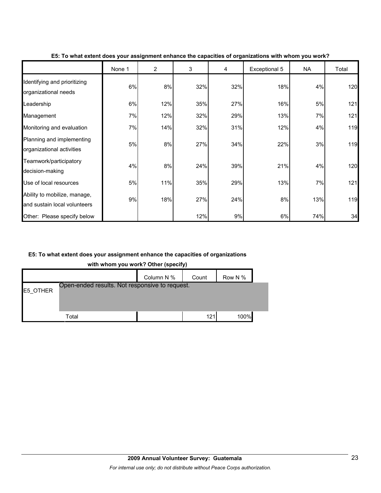|                                                              | None 1 | $\overline{2}$ | 3   | 4   | Exceptional 5 | NA  | Total |
|--------------------------------------------------------------|--------|----------------|-----|-----|---------------|-----|-------|
| Identifying and prioritizing<br>organizational needs         | 6%     | 8%             | 32% | 32% | 18%           | 4%  | 120   |
| Leadership                                                   | 6%     | 12%            | 35% | 27% | 16%           | 5%  | 121   |
| Management                                                   | 7%     | 12%            | 32% | 29% | 13%           | 7%  | 121   |
| Monitoring and evaluation                                    | 7%     | 14%            | 32% | 31% | 12%           | 4%  | 119   |
| Planning and implementing<br>organizational activities       | 5%     | 8%             | 27% | 34% | 22%           | 3%  | 119   |
| Teamwork/participatory<br>decision-making                    | 4%     | 8%             | 24% | 39% | 21%           | 4%  | 120   |
| Use of local resources                                       | 5%     | 11%            | 35% | 29% | 13%           | 7%  | 121   |
| Ability to mobilize, manage,<br>and sustain local volunteers | 9%     | 18%            | 27% | 24% | 8%            | 13% | 119   |
| Other: Please specify below                                  |        |                | 12% | 9%  | 6%            | 74% | 34    |

### **E5: To what extent does your assignment enhance the capacities of organizations with whom you work?**

## **E5: To what extent does your assignment enhance the capacities of organizations**

**with whom you work? Other (specify)**

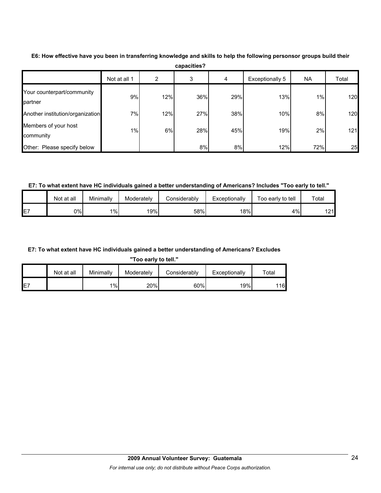|                                       | Not at all 1 | 2   | 3   | 4   | Exceptionally 5 | <b>NA</b> | Total |
|---------------------------------------|--------------|-----|-----|-----|-----------------|-----------|-------|
| Your counterpart/community<br>partner | 9%           | 12% | 36% | 29% | 13%             | 1%        | 120   |
| Another institution/organization      | 7%           | 12% | 27% | 38% | 10%             | 8%        | 120   |
| Members of your host<br>community     | 1%           | 6%  | 28% | 45% | 19%             | 2%        | 121   |
| Other: Please specify below           |              |     | 8%  | 8%  | 12%             | 72%       | 25    |

**E6: How effective have you been in transferring knowledge and skills to help the following personsor groups build their capacities?**

**E7: To what extent have HC individuals gained a better understanding of Americans? Includes "Too early to tell."**

|    | Not at all | Minimally | Moderately | <b>Considerably</b> | Exceptionallv | Foo early to tell | $\tau$ otal    |
|----|------------|-----------|------------|---------------------|---------------|-------------------|----------------|
| E7 | 0%l        | $1\%$     | 19%        | 58%                 | 18%           | 4%                | 1 O 4 I<br>' – |

#### **E7: To what extent have HC individuals gained a better understanding of Americans? Excludes**

**"Too early to tell."**

|     | Not at all | Minimally | Moderately | Considerably | Exceptionally | $\tau$ otal |
|-----|------------|-----------|------------|--------------|---------------|-------------|
| IE7 |            | 1%        | 20%        | 60%          | 19%           | 116         |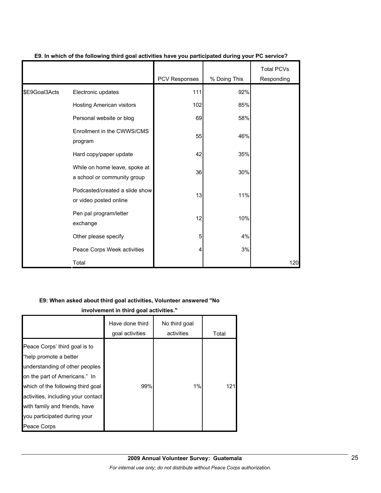|               |                                                              | PCV Responses | % Doing This | <b>Total PCVs</b><br>Responding |
|---------------|--------------------------------------------------------------|---------------|--------------|---------------------------------|
| \$E9Goal3Acts | Electronic updates                                           | 111           | 92%          |                                 |
|               | <b>Hosting American visitors</b>                             | 102           | 85%          |                                 |
|               | Personal website or blog                                     | 69            | 58%          |                                 |
|               | Enrollment in the CWWS/CMS<br>program                        | 55            | 46%          |                                 |
|               | Hard copy/paper update                                       | 42            | 35%          |                                 |
|               | While on home leave, spoke at<br>a school or community group | 36            | 30%          |                                 |
|               | Podcasted/created a slide show<br>or video posted online     | 13            | 11%          |                                 |
|               | Pen pal program/letter<br>exchange                           | 12            | 10%          |                                 |
|               | Other please specify                                         | 5             | 4%           |                                 |
|               | Peace Corps Week activities                                  | 4             | 3%           |                                 |
|               | Total                                                        |               |              | 120                             |

## **E9. In which of the following third goal activities have you participated during your PC service?**

#### **E9: When asked about third goal activities, Volunteer answered "No**

**involvement in third goal activities."** 

|                                                                                                                                                                                                                                                                                       | Have done third<br>goal activities | No third goal<br>activities | Total |
|---------------------------------------------------------------------------------------------------------------------------------------------------------------------------------------------------------------------------------------------------------------------------------------|------------------------------------|-----------------------------|-------|
| Peace Corps' third goal is to<br>"help promote a better<br>understanding of other peoples<br>on the part of Americans." In<br>which of the following third goal<br>activities, including your contact<br>with family and friends, have<br>you participated during your<br>Peace Corps | 99%                                | 1%                          | 121   |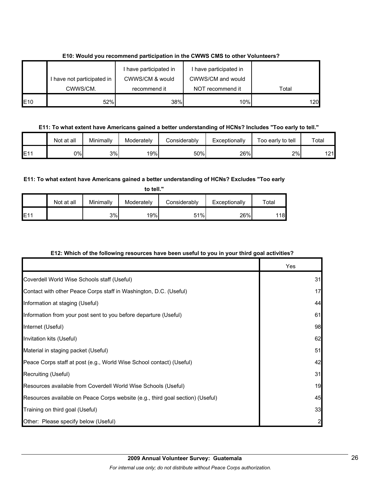|             |                                        | I have participated in          | I have participated in                |       |
|-------------|----------------------------------------|---------------------------------|---------------------------------------|-------|
|             | I have not participated in<br>CWWS/CM. | CWWS/CM & would<br>recommend it | CWWS/CM and would<br>NOT recommend it | Total |
| <b>IE10</b> | 52%                                    | 38%                             | 10%                                   | 120   |

## **E10: Would you recommend participation in the CWWS CMS to other Volunteers?**

## **E11: To what extent have Americans gained a better understanding of HCNs? Includes "Too early to tell."**

|      | Not at all | Minimally | Moderately | <b>Considerably</b> | Exceptionally | Too early to tell | Total |
|------|------------|-----------|------------|---------------------|---------------|-------------------|-------|
| IE11 | 0%I        | 3%        | 19%        | 50%                 | 26%           | 2%                | 121   |

## **E11: To what extent have Americans gained a better understanding of HCNs? Excludes "Too early**

|            | to tell."  |           |            |              |               |       |  |  |  |
|------------|------------|-----------|------------|--------------|---------------|-------|--|--|--|
|            | Not at all | Minimally | Moderately | Considerably | Exceptionally | Total |  |  |  |
| <b>E11</b> |            | 3%        | 19%        | 51%          | 26%           | 118l  |  |  |  |

## **E12: Which of the following resources have been useful to you in your third goal activities?**

|                                                                                | Yes |
|--------------------------------------------------------------------------------|-----|
| Coverdell World Wise Schools staff (Useful)                                    | 31  |
| Contact with other Peace Corps staff in Washington, D.C. (Useful)              | 17  |
| Information at staging (Useful)                                                | 44  |
| Information from your post sent to you before departure (Useful)               | 61  |
| Internet (Useful)                                                              | 98  |
| Invitation kits (Useful)                                                       | 62  |
| Material in staging packet (Useful)                                            | 51  |
| Peace Corps staff at post (e.g., World Wise School contact) (Useful)           | 42  |
| Recruiting (Useful)                                                            | 31  |
| Resources available from Coverdell World Wise Schools (Useful)                 | 19  |
| Resources available on Peace Corps website (e.g., third goal section) (Useful) | 45  |
| Training on third goal (Useful)                                                | 33  |
| Other: Please specify below (Useful)                                           |     |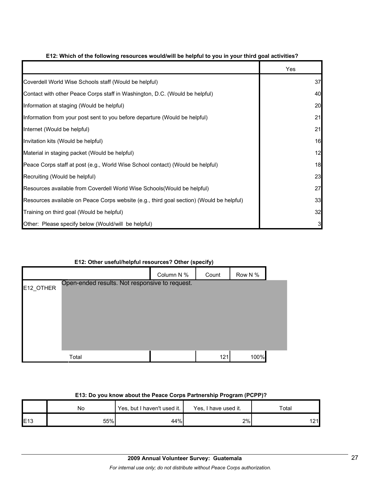|                                                                                          | Yes |
|------------------------------------------------------------------------------------------|-----|
| Coverdell World Wise Schools staff (Would be helpful)                                    | 37  |
| Contact with other Peace Corps staff in Washington, D.C. (Would be helpful)              | 40  |
| Information at staging (Would be helpful)                                                | 20  |
| Information from your post sent to you before departure (Would be helpful)               | 21  |
| Internet (Would be helpful)                                                              | 21  |
| Invitation kits (Would be helpful)                                                       | 16  |
| Material in staging packet (Would be helpful)                                            | 12  |
| Peace Corps staff at post (e.g., World Wise School contact) (Would be helpful)           | 18  |
| Recruiting (Would be helpful)                                                            | 23  |
| Resources available from Coverdell World Wise Schools (Would be helpful)                 | 27  |
| Resources available on Peace Corps website (e.g., third goal section) (Would be helpful) | 33  |
| Training on third goal (Would be helpful)                                                | 32  |
| Other: Please specify below (Would/will be helpful)                                      | 3   |

## **E12: Which of the following resources would/will be helpful to you in your third goal activities?**

#### **E12: Other useful/helpful resources? Other (specify)**

| $\blacksquare$ |                                                |            |       |         |  |  |
|----------------|------------------------------------------------|------------|-------|---------|--|--|
|                |                                                | Column N % | Count | Row N % |  |  |
| E12_OTHER      | Open-ended results. Not responsive to request. |            |       |         |  |  |
|                | Total                                          |            | 121   | 100%    |  |  |

## **E13: Do you know about the Peace Corps Partnership Program (PCPP)?**

|                 | No  | Yes, but I haven't used it. | Yes, I have used it. | $\tau$ otal   |  |
|-----------------|-----|-----------------------------|----------------------|---------------|--|
| E <sub>13</sub> | 55% | 44%                         | 2%                   | 101<br>$\sim$ |  |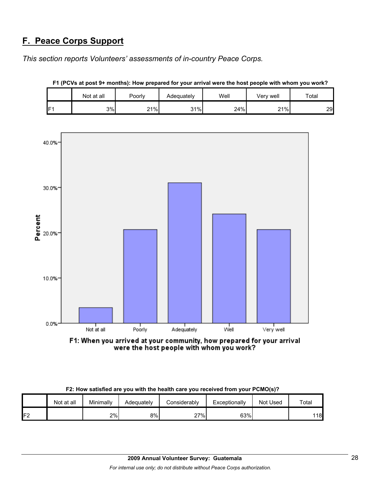## **F. Peace Corps Support**

*This section reports Volunteers' assessments of in-country Peace Corps.* 

|                 | Not at all | Poorly | Adequately | Well | Very well     | Total |
|-----------------|------------|--------|------------|------|---------------|-------|
| IF <sub>1</sub> | 3%         | 21%    | 31%        | 24%  | 21%<br>$\sim$ | 29    |



**F1 (PCVs at post 9+ months): How prepared for your arrival were the host people with whom you work?**

F1: When you arrived at your community, how prepared for your arrival were the host people with whom you work?

| F2: How satisfied are you with the health care you received from your PCMO(s)? |  |
|--------------------------------------------------------------------------------|--|
|--------------------------------------------------------------------------------|--|

|    | Not at all | Minimally | Adequately | ا onsiderably | Exceptionally | Not Used | Total |
|----|------------|-----------|------------|---------------|---------------|----------|-------|
| ロク |            | 2%        | 8%         | ו%די          | 63%           |          | 118   |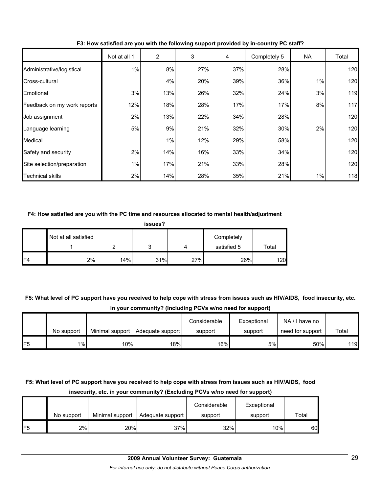|                             | Not at all 1 | 2   | 3   | 4   | Completely 5 | NA    | Total |
|-----------------------------|--------------|-----|-----|-----|--------------|-------|-------|
| Administrative/logistical   | 1%           | 8%  | 27% | 37% | 28%          |       | 120   |
| Cross-cultural              |              | 4%  | 20% | 39% | 36%          | $1\%$ | 120   |
| <b>Emotional</b>            | 3%           | 13% | 26% | 32% | 24%          | 3%    | 119   |
| Feedback on my work reports | 12%          | 18% | 28% | 17% | 17%          | 8%    | 117   |
| Job assignment              | 2%           | 13% | 22% | 34% | 28%          |       | 120   |
| Language learning           | 5%           | 9%  | 21% | 32% | 30%          | 2%    | 120   |
| Medical                     |              | 1%  | 12% | 29% | 58%          |       | 120   |
| Safety and security         | 2%           | 14% | 16% | 33% | 34%          |       | 120   |
| Site selection/preparation  | 1%           | 17% | 21% | 33% | 28%          |       | 120   |
| <b>Technical skills</b>     | 2%           | 14% | 28% | 35% | 21%          | 1%    | 118   |

**F3: How satisfied are you with the following support provided by in-country PC staff?**

## **F4: How satisfied are you with the PC time and resources allocated to mental health/adjustment**

|                | issues?              |     |     |     |                           |       |  |  |  |  |  |
|----------------|----------------------|-----|-----|-----|---------------------------|-------|--|--|--|--|--|
|                | Not at all satisfied | ◠   | 3   |     | Completely<br>satisfied 5 | Total |  |  |  |  |  |
| F <sub>4</sub> | 2%                   | 14% | 31% | 27% | 26%                       | 120   |  |  |  |  |  |

**F5: What level of PC support have you received to help cope with stress from issues such as HIV/AIDS, food insecurity, etc. in your community? (Including PCVs w/no need for support)**

|                 |            |     |                                    | Considerable | Exceptional | NA/I have no     |       |
|-----------------|------------|-----|------------------------------------|--------------|-------------|------------------|-------|
|                 | No support |     | Minimal support   Adequate support | support      | support     | need for support | Total |
| IF <sub>5</sub> | $1\%$      | 10% | 18%                                | 16%          | 5%          | 50%              | 119   |

## **F5: What level of PC support have you received to help cope with stress from issues such as HIV/AIDS, food insecurity, etc. in your community? (Excluding PCVs w/no need for support)**

|                 |            |                 |                  | Considerable | Exceptional |       |
|-----------------|------------|-----------------|------------------|--------------|-------------|-------|
|                 | No support | Minimal support | Adequate support | support      | support     | Total |
| IF <sub>5</sub> | 2%         | 20%             | 37%              | 32%          | 10%         | 60    |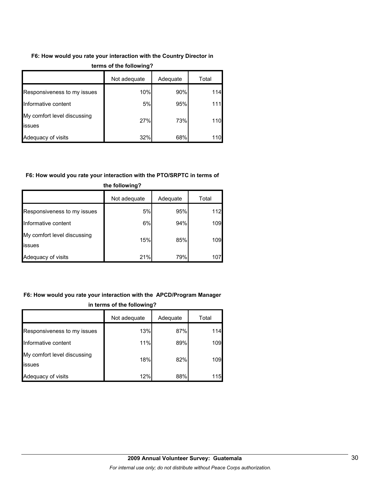## **F6: How would you rate your interaction with the Country Director in**

|                                              | Not adequate | Adequate | Total |
|----------------------------------------------|--------------|----------|-------|
| Responsiveness to my issues                  | 10%          | 90%      | 114   |
| Informative content                          | 5%           | 95%      | 111   |
| My comfort level discussing<br><b>issues</b> | 27%          | 73%      | 110   |
| Adequacy of visits                           | 32%          | 68%      | 110   |

### **terms of the following?**

## **F6: How would you rate your interaction with the PTO/SRPTC in terms of**

| the following?                        |              |          |       |  |
|---------------------------------------|--------------|----------|-------|--|
|                                       | Not adequate | Adequate | Total |  |
| Responsiveness to my issues           | 5%           | 95%      | 112   |  |
| Informative content                   | 6%           | 94%      | 109   |  |
| My comfort level discussing<br>issues | 15%          | 85%      | 109   |  |
| Adequacy of visits                    | 21%          | 79%      | 107   |  |

## **F6: How would you rate your interaction with the APCD/Program Manager in terms of the following?**

|                                       | Not adequate | Adequate | Total |
|---------------------------------------|--------------|----------|-------|
| Responsiveness to my issues           | 13%          | 87%      | 114   |
| Informative content                   | 11%          | 89%      | 109   |
| My comfort level discussing<br>issues | 18%          | 82%      | 109   |
| Adequacy of visits                    | 12%          | 88%      | 115   |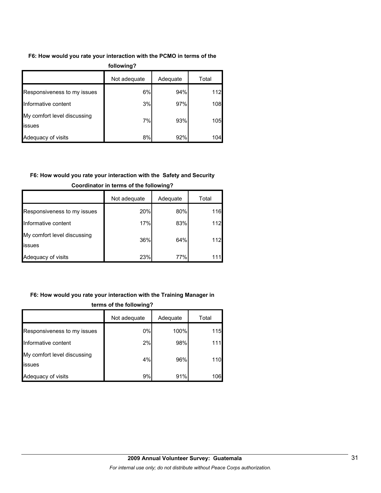## **F6: How would you rate your interaction with the PCMO in terms of the**

| following?                            |              |          |       |
|---------------------------------------|--------------|----------|-------|
|                                       | Not adequate | Adequate | Total |
| Responsiveness to my issues           | 6%           | 94%      | 112   |
| Informative content                   | 3%           | 97%      | 108   |
| My comfort level discussing<br>issues | 7%           | 93%      | 105   |
| Adequacy of visits                    | 8%           | 92%      | 104   |

# **F6: How would you rate your interaction with the Safety and Security**

|                                               | Not adequate | Adequate | Total |
|-----------------------------------------------|--------------|----------|-------|
| Responsiveness to my issues                   | 20%          | 80%      | 116   |
| Informative content                           | 17%          | 83%      | 112   |
| My comfort level discussing<br><b>lissues</b> | 36%          | 64%      | 112   |
| Adequacy of visits                            | 23%          | 77%      |       |

## **Coordinator in terms of the following?**

## **F6: How would you rate your interaction with the Training Manager in**

|                                               | Not adequate | Adequate | Total |  |
|-----------------------------------------------|--------------|----------|-------|--|
| Responsiveness to my issues                   | 0%           | 100%     | 115   |  |
| Informative content                           | 2%           | 98%      | 111   |  |
| My comfort level discussing<br><b>lissues</b> | 4%           | 96%      | 110   |  |
| Adequacy of visits                            | 9%           | 91%      | 106   |  |

## **terms of the following?**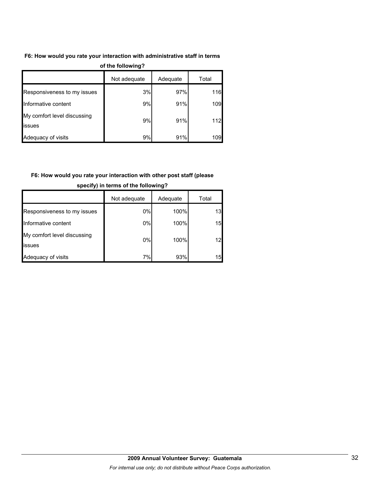## **F6: How would you rate your interaction with administrative staff in terms**

| $\sim$                                        |              |          |       |
|-----------------------------------------------|--------------|----------|-------|
|                                               | Not adequate | Adequate | Total |
| Responsiveness to my issues                   | 3%           | 97%      | 116   |
| Informative content                           | 9%           | 91%      | 109   |
| My comfort level discussing<br><b>lissues</b> | 9%           | 91%      | 112   |
| Adequacy of visits                            | 9%           | 91%      | 109   |

#### **of the following?**

## **F6: How would you rate your interaction with other post staff (please**

|                                       | Not adequate | Adequate | Total |
|---------------------------------------|--------------|----------|-------|
| Responsiveness to my issues           | 0%           | 100%     | 13    |
| Informative content                   | 0%           | 100%     | 15    |
| My comfort level discussing<br>issues | 0%           | 100%     | 12    |
| Adequacy of visits                    | 7%           | 93%      | 15    |

#### **specify) in terms of the following?**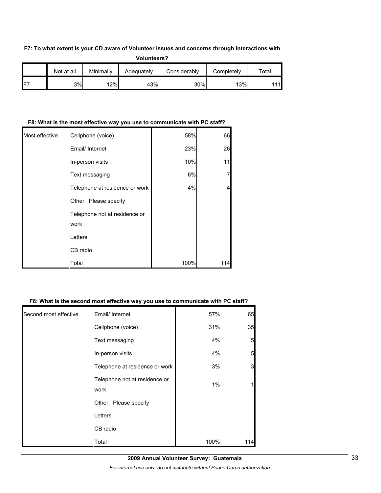### **F7: To what extent is your CD aware of Volunteer issues and concerns through interactions with**

| Volunteers? |  |
|-------------|--|
|             |  |

|                 | Not at all | Minimally | Adequately | Considerably | Completelv | $\tau$ otal |
|-----------------|------------|-----------|------------|--------------|------------|-------------|
| IF <sub>7</sub> | 3%         | 12%       | 43%        | 30%          | 13%        | 111         |

#### **F8: What is the most effective way you use to communicate with PC staff?**

| Most effective | Cellphone (voice)                     | 58%  | 66  |
|----------------|---------------------------------------|------|-----|
|                | Email/ Internet                       | 23%  | 26  |
|                | In-person visits                      | 10%  | 11  |
|                | Text messaging                        | 6%   | 7   |
|                | Telephone at residence or work        | 4%   | 4   |
|                | Other. Please specify                 |      |     |
|                | Telephone not at residence or<br>work |      |     |
|                | Letters                               |      |     |
|                | CB radio                              |      |     |
|                | Total                                 | 100% | 114 |

#### **F8: What is the second most effective way you use to communicate with PC staff?**

| Second most effective | Email/ Internet                       | 57%  | 65  |
|-----------------------|---------------------------------------|------|-----|
|                       | Cellphone (voice)                     | 31%  | 35  |
|                       | Text messaging                        | 4%   | 5   |
|                       | In-person visits                      | 4%   | 5   |
|                       | Telephone at residence or work        | 3%   | 3   |
|                       | Telephone not at residence or<br>work | 1%   |     |
|                       | Other. Please specify                 |      |     |
|                       | Letters                               |      |     |
|                       | CB radio                              |      |     |
|                       | Total                                 | 100% | 114 |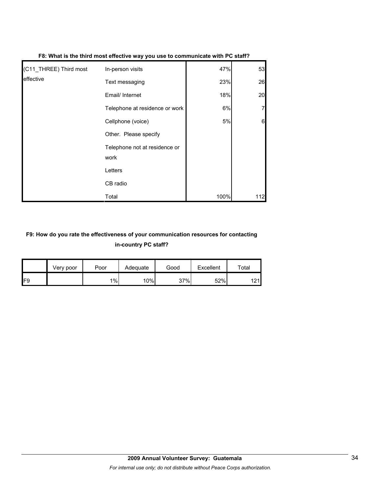| (C11_THREE) Third most | In-person visits                      | 47%  | 53  |
|------------------------|---------------------------------------|------|-----|
| leffective             | Text messaging                        | 23%  | 26  |
|                        | Email/ Internet                       | 18%  | 20  |
|                        | Telephone at residence or work        | 6%   |     |
|                        | Cellphone (voice)                     | 5%   | 6   |
|                        | Other. Please specify                 |      |     |
|                        | Telephone not at residence or<br>work |      |     |
|                        | Letters                               |      |     |
|                        | CB radio                              |      |     |
|                        | Total                                 | 100% | 112 |

#### **F8: What is the third most effective way you use to communicate with PC staff?**

## **F9: How do you rate the effectiveness of your communication resources for contacting in-country PC staff?**

|                 | Very poor | Poor | Adequate | Good | Excellent | $\tau$ otal |
|-----------------|-----------|------|----------|------|-----------|-------------|
| IF <sub>9</sub> |           | 1%   | 10%      | 37%  | 52%       | 121         |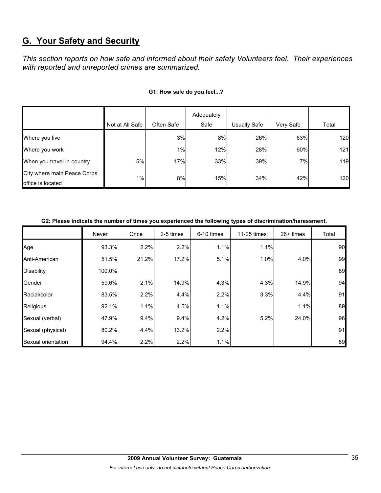# **G. Your Safety and Security**

*This section reports on how safe and informed about their safety Volunteers feel. Their experiences with reported and unreported crimes are summarized.* 

|                                                  |                 |            | Adequately |              |           |       |
|--------------------------------------------------|-----------------|------------|------------|--------------|-----------|-------|
|                                                  | Not at All Safe | Often Safe | Safe       | Usually Safe | Very Safe | Total |
| Where you live                                   |                 | 3%         | 8%         | 26%          | 63%       | 120   |
| Where you work                                   |                 | $1\%$      | 12%        | 28%          | 60%       | 121   |
| When you travel in-country                       | 5%              | 17%        | 33%        | 39%          | 7%        | 119   |
| City where main Peace Corps<br>office is located | $1\%$           | 8%         | 15%        | 34%          | 42%       | 120   |

### **G1: How safe do you feel...?**

## **G2: Please indicate the number of times you experienced the following types of discrimination/harassment.**

|                    | Never  | Once  | 2-5 times | 6-10 times | 11-25 times | $26+$ times | Total |
|--------------------|--------|-------|-----------|------------|-------------|-------------|-------|
| Age                | 93.3%  | 2.2%  | 2.2%      | 1.1%       | 1.1%        |             | 90    |
| Anti-American      | 51.5%  | 21.2% | 17.2%     | 5.1%       | 1.0%        | 4.0%        | 99    |
| <b>Disability</b>  | 100.0% |       |           |            |             |             | 89    |
| Gender             | 59.6%  | 2.1%  | 14.9%     | 4.3%       | 4.3%        | 14.9%       | 94    |
| Racial/color       | 83.5%  | 2.2%  | 4.4%      | 2.2%       | 3.3%        | 4.4%        | 91    |
| Religious          | 92.1%  | 1.1%  | 4.5%      | 1.1%       |             | 1.1%        | 89    |
| Sexual (verbal)    | 47.9%  | 9.4%  | 9.4%      | 4.2%       | 5.2%        | 24.0%       | 96    |
| Sexual (physical)  | 80.2%  | 4.4%  | 13.2%     | 2.2%       |             |             | 91    |
| Sexual orientation | 94.4%  | 2.2%  | 2.2%      | 1.1%       |             |             | 89    |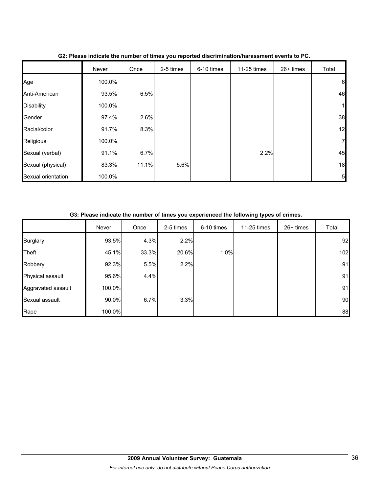|                    | Never  | Once  | 2-5 times | 6-10 times | 11-25 times | 26+ times | Total           |
|--------------------|--------|-------|-----------|------------|-------------|-----------|-----------------|
| Age                | 100.0% |       |           |            |             |           | 6               |
| Anti-American      | 93.5%  | 6.5%  |           |            |             |           | 46              |
| <b>Disability</b>  | 100.0% |       |           |            |             |           | $\mathbf{1}$    |
| Gender             | 97.4%  | 2.6%  |           |            |             |           | 38              |
| Racial/color       | 91.7%  | 8.3%  |           |            |             |           | 12              |
| Religious          | 100.0% |       |           |            |             |           | $\mathbf{Z}$    |
| Sexual (verbal)    | 91.1%  | 6.7%  |           |            | 2.2%        |           | 45              |
| Sexual (physical)  | 83.3%  | 11.1% | 5.6%      |            |             |           | 18              |
| Sexual orientation | 100.0% |       |           |            |             |           | $5\overline{a}$ |

## **G2: Please indicate the number of times you reported discrimination/harassment events to PC.**

## **G3: Please indicate the number of times you experienced the following types of crimes.**

|                    | Never  | Once  | 2-5 times | 6-10 times | 11-25 times | 26+ times | Total |
|--------------------|--------|-------|-----------|------------|-------------|-----------|-------|
| <b>Burglary</b>    | 93.5%  | 4.3%  | 2.2%      |            |             |           | 92    |
| Theft              | 45.1%  | 33.3% | 20.6%     | 1.0%       |             |           | 102   |
| Robbery            | 92.3%  | 5.5%  | 2.2%      |            |             |           | 91    |
| Physical assault   | 95.6%  | 4.4%  |           |            |             |           | 91    |
| Aggravated assault | 100.0% |       |           |            |             |           | 91    |
| Sexual assault     | 90.0%  | 6.7%  | 3.3%      |            |             |           | 90    |
| Rape               | 100.0% |       |           |            |             |           | 88    |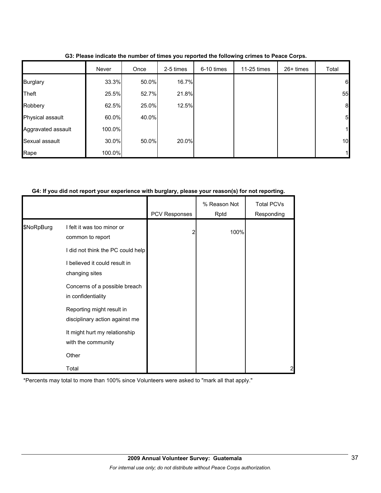|                    | Never  | Once  | 2-5 times | 6-10 times | 11-25 times | $26+$ times | Total           |
|--------------------|--------|-------|-----------|------------|-------------|-------------|-----------------|
| <b>Burglary</b>    | 33.3%  | 50.0% | 16.7%     |            |             |             | 6               |
| Theft              | 25.5%  | 52.7% | 21.8%     |            |             |             | 55              |
| Robbery            | 62.5%  | 25.0% | 12.5%     |            |             |             | 8               |
| Physical assault   | 60.0%  | 40.0% |           |            |             |             | $5\overline{)}$ |
| Aggravated assault | 100.0% |       |           |            |             |             | 1               |
| Sexual assault     | 30.0%  | 50.0% | 20.0%     |            |             |             | 10              |
| Rape               | 100.0% |       |           |            |             |             | $\mathbf{1}$    |

**G3: Please indicate the number of times you reported the following crimes to Peace Corps.**

#### **G4: If you did not report your experience with burglary, please your reason(s) for not reporting.**

|            |                                                             |                           | % Reason Not<br>Rptd | <b>Total PCVs</b><br>Responding |
|------------|-------------------------------------------------------------|---------------------------|----------------------|---------------------------------|
| \$NoRpBurg | I felt it was too minor or<br>common to report              | <b>PCV Responses</b><br>2 | 100%                 |                                 |
|            | I did not think the PC could help                           |                           |                      |                                 |
|            | I believed it could result in<br>changing sites             |                           |                      |                                 |
|            | Concerns of a possible breach<br>in confidentiality         |                           |                      |                                 |
|            | Reporting might result in<br>disciplinary action against me |                           |                      |                                 |
|            | It might hurt my relationship<br>with the community         |                           |                      |                                 |
|            | Other                                                       |                           |                      |                                 |
|            | Total                                                       |                           |                      | 2                               |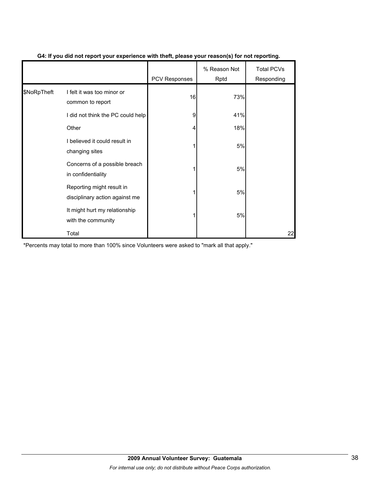|             |                                                             | <b>PCV Responses</b> | % Reason Not<br>Rptd | <b>Total PCVs</b><br>Responding |
|-------------|-------------------------------------------------------------|----------------------|----------------------|---------------------------------|
| \$NoRpTheft | I felt it was too minor or<br>common to report              | 16                   | 73%                  |                                 |
|             | I did not think the PC could help                           | 9                    | 41%                  |                                 |
|             | Other                                                       | 4                    | 18%                  |                                 |
|             | I believed it could result in<br>changing sites             |                      | 5%                   |                                 |
|             | Concerns of a possible breach<br>in confidentiality         |                      | 5%                   |                                 |
|             | Reporting might result in<br>disciplinary action against me |                      | 5%                   |                                 |
|             | It might hurt my relationship<br>with the community         |                      | 5%                   |                                 |
|             | Total                                                       |                      |                      | 22                              |

## **G4: If you did not report your experience with theft, please your reason(s) for not reporting.**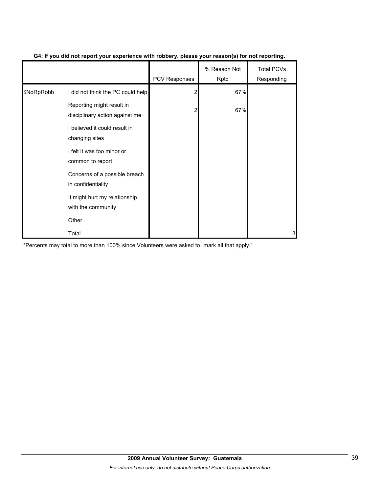|            |                                                             | <b>PCV Responses</b> | % Reason Not<br>Rptd | <b>Total PCVs</b><br>Responding |
|------------|-------------------------------------------------------------|----------------------|----------------------|---------------------------------|
| \$NoRpRobb | I did not think the PC could help                           |                      | 67%                  |                                 |
|            | Reporting might result in<br>disciplinary action against me | 2                    | 67%                  |                                 |
|            | I believed it could result in<br>changing sites             |                      |                      |                                 |
|            | I felt it was too minor or<br>common to report              |                      |                      |                                 |
|            | Concerns of a possible breach<br>in confidentiality         |                      |                      |                                 |
|            | It might hurt my relationship<br>with the community         |                      |                      |                                 |
|            | Other                                                       |                      |                      |                                 |
|            | Total                                                       |                      |                      | 3                               |

## **G4: If you did not report your experience with robbery, please your reason(s) for not reporting.**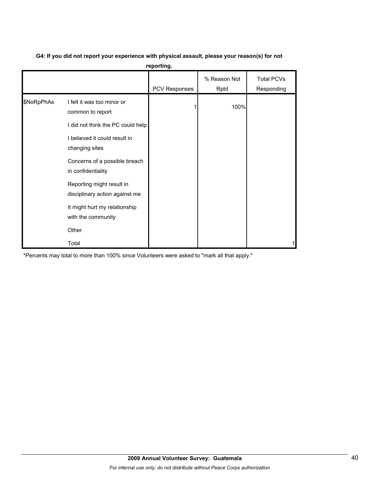| G4: If you did not report your experience with physical assault, please your reason(s) for not |  |  |
|------------------------------------------------------------------------------------------------|--|--|
|                                                                                                |  |  |

**reporting.**

|            |                                                             | PCV Responses | % Reason Not<br>Rptd | <b>Total PCVs</b><br>Responding |
|------------|-------------------------------------------------------------|---------------|----------------------|---------------------------------|
| \$NoRpPhAs | I felt it was too minor or<br>common to report              |               | 100%                 |                                 |
|            | I did not think the PC could help                           |               |                      |                                 |
|            | I believed it could result in<br>changing sites             |               |                      |                                 |
|            | Concerns of a possible breach<br>in confidentiality         |               |                      |                                 |
|            | Reporting might result in<br>disciplinary action against me |               |                      |                                 |
|            | It might hurt my relationship<br>with the community         |               |                      |                                 |
|            | Other                                                       |               |                      |                                 |
|            | Total                                                       |               |                      |                                 |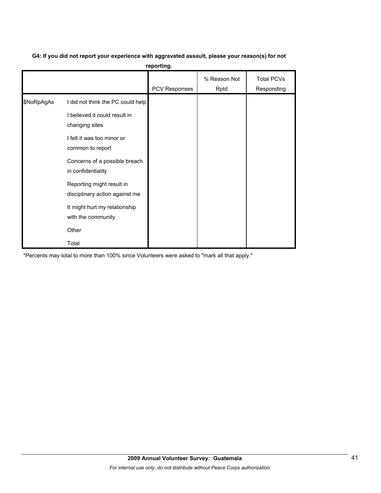# **G4: If you did not report your experience with aggravated assault, please your reason(s) for not**

**reporting.**

|            |                                                                                                                                                                         | PCV Responses | % Reason Not<br>Rptd | <b>Total PCVs</b><br>Responding |
|------------|-------------------------------------------------------------------------------------------------------------------------------------------------------------------------|---------------|----------------------|---------------------------------|
| \$NoRpAgAs | I did not think the PC could help<br>I believed it could result in<br>changing sites<br>I felt it was too minor or<br>common to report<br>Concerns of a possible breach |               |                      |                                 |
|            | in confidentiality<br>Reporting might result in<br>disciplinary action against me<br>It might hurt my relationship<br>with the community<br>Other<br>Total              |               |                      |                                 |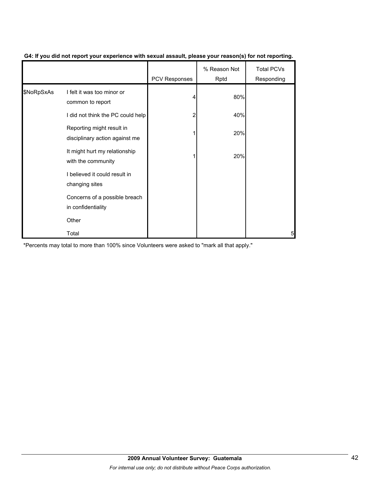|            |                                                             | <b>PCV Responses</b> | % Reason Not<br>Rptd | <b>Total PCVs</b><br>Responding |
|------------|-------------------------------------------------------------|----------------------|----------------------|---------------------------------|
| \$NoRpSxAs | I felt it was too minor or<br>common to report              |                      | 80%                  |                                 |
|            | I did not think the PC could help                           | 2                    | 40%                  |                                 |
|            | Reporting might result in<br>disciplinary action against me |                      | 20%                  |                                 |
|            | It might hurt my relationship<br>with the community         |                      | 20%                  |                                 |
|            | I believed it could result in<br>changing sites             |                      |                      |                                 |
|            | Concerns of a possible breach<br>in confidentiality         |                      |                      |                                 |
|            | Other                                                       |                      |                      |                                 |
|            | Total                                                       |                      |                      | 5                               |

## **G4: If you did not report your experience with sexual assault, please your reason(s) for not reporting.**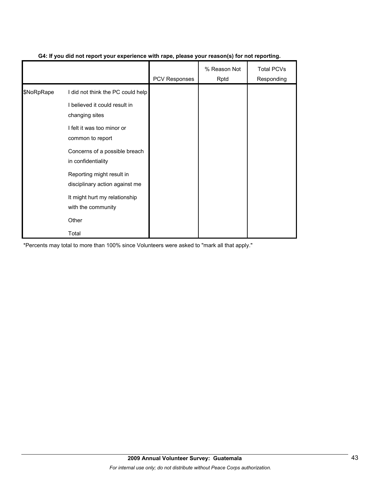|            |                                                             | <b>PCV Responses</b> | % Reason Not<br>Rptd | <b>Total PCVs</b><br>Responding |
|------------|-------------------------------------------------------------|----------------------|----------------------|---------------------------------|
| \$NoRpRape | I did not think the PC could help                           |                      |                      |                                 |
|            | I believed it could result in<br>changing sites             |                      |                      |                                 |
|            | I felt it was too minor or<br>common to report              |                      |                      |                                 |
|            | Concerns of a possible breach<br>in confidentiality         |                      |                      |                                 |
|            | Reporting might result in<br>disciplinary action against me |                      |                      |                                 |
|            | It might hurt my relationship<br>with the community         |                      |                      |                                 |
|            | Other                                                       |                      |                      |                                 |
|            | Total                                                       |                      |                      |                                 |

## **G4: If you did not report your experience with rape, please your reason(s) for not reporting.**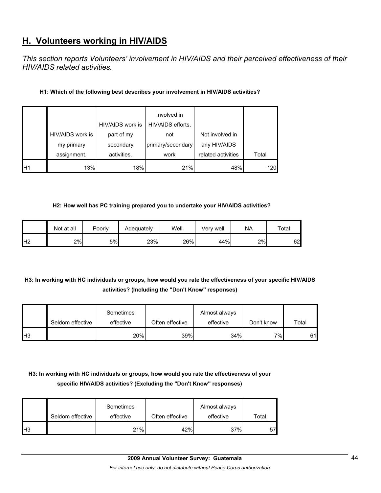# **H. Volunteers working in HIV/AIDS**

*This section reports Volunteers' involvement in HIV/AIDS and their perceived effectiveness of their HIV/AIDS related activities.* 

## **H1: Which of the following best describes your involvement in HIV/AIDS activities?**

|    |                  | HIV/AIDS work is | Involved in<br>HIV/AIDS efforts, |                    |       |
|----|------------------|------------------|----------------------------------|--------------------|-------|
|    | HIV/AIDS work is | part of my       | not                              | Not involved in    |       |
|    | my primary       | secondary        | primary/secondary                | any HIV/AIDS       |       |
|    | assignment.      | activities.      | work                             | related activities | Total |
| H1 | 13%              | 18%              | 21%                              | 48%                | 120   |

#### **H2: How well has PC training prepared you to undertake your HIV/AIDS activities?**

|                | Not at all | Poorly | Adeɑuatelv | Well | Verv well | <b>NA</b> | Total |
|----------------|------------|--------|------------|------|-----------|-----------|-------|
| H <sub>2</sub> | 2%         | 5%     | 23%        | 26%  | 44%       | 2%        | 62    |

## **H3: In working with HC individuals or groups, how would you rate the effectiveness of your specific HIV/AIDS activities? (Including the "Don't Know" responses)**

|                 |                  | Sometimes |                 | Almost always |                    |       |
|-----------------|------------------|-----------|-----------------|---------------|--------------------|-------|
|                 | Seldom effective | effective | Often effective | effective     | Don't know         | Total |
| IH <sub>3</sub> |                  | 20%       | 39%             | 34%           | $7\%$ <sub>1</sub> | 61    |

## **H3: In working with HC individuals or groups, how would you rate the effectiveness of your specific HIV/AIDS activities? (Excluding the "Don't Know" responses)**

|                 | Seldom effective | Sometimes<br>effective | Often effective | Almost always<br>effective | Total |
|-----------------|------------------|------------------------|-----------------|----------------------------|-------|
| IH <sub>3</sub> |                  | 21%                    | 42%             | 37%                        | 57    |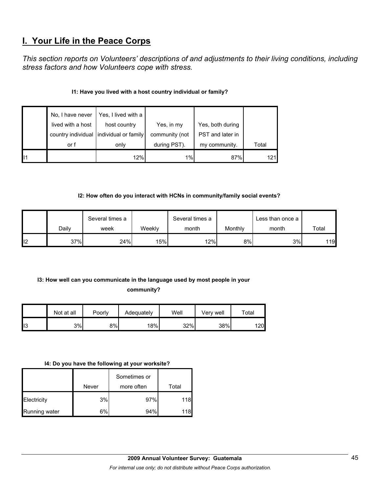# **I. Your Life in the Peace Corps**

*This section reports on Volunteers' descriptions of and adjustments to their living conditions, including stress factors and how Volunteers cope with stress.* 

## **I1: Have you lived with a host country individual or family?**

|                 | No, I have never<br>lived with a host | Yes, I lived with a<br>host country | Yes, in my                     | Yes, both during                  |       |
|-----------------|---------------------------------------|-------------------------------------|--------------------------------|-----------------------------------|-------|
|                 | country individual<br>or f            | individual or family<br>only        | community (not<br>during PST). | PST and later in<br>my community. | Total |
| $\mathsf{II}$ 1 |                                       | 12%                                 | 1%                             | 87%                               | 121   |

## **I2: How often do you interact with HCNs in community/family social events?**

|     |       | Several times a |        | Several times a |         | Less than once a |       |
|-----|-------|-----------------|--------|-----------------|---------|------------------|-------|
|     | Dailv | week            | Weekly | month           | Monthly | month            | Total |
| ll2 | 37%   | 24%             | 15% l  | 12%             | 8%      | 3%               | 119   |

# **I3: How well can you communicate in the language used by most people in your**

| community? |
|------------|
|------------|

|     | Not at all | Poorly | Adequately | Well | Very well | $\tau$ otal |
|-----|------------|--------|------------|------|-----------|-------------|
| ll3 | 3%         | 8%     | 18%        | 32%  | 38%       | 20          |

## **I4: Do you have the following at your worksite?**

|               |       | Sometimes or |       |
|---------------|-------|--------------|-------|
|               | Never | more often   | Total |
| Electricity   | 3%    | 97%          | 118   |
| Running water | 6%    | 94%          | 18    |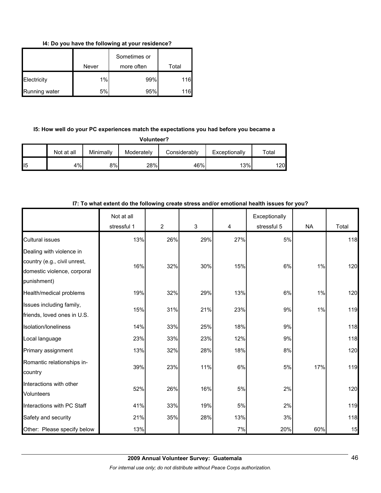**I4: Do you have the following at your residence?**

|               | Never | Sometimes or<br>more often | Total |
|---------------|-------|----------------------------|-------|
| Electricity   | 1%    | 99%                        | 116   |
| Running water | 5%    | 95%                        | 116l  |

## **I5: How well do your PC experiences match the expectations you had before you became a**

|  | <b>Volunteer?</b> |  |
|--|-------------------|--|
|--|-------------------|--|

|                 | Not at all | Minimally | Moderately | Considerablv | Exceptionally | $\tau$ otal |
|-----------------|------------|-----------|------------|--------------|---------------|-------------|
| II <sub>5</sub> | 4%         | 8%        | 28%        | 46%          | 13%           | 1201        |

|                                                                                                        | Not at all  |                |     |     | Exceptionally |           |       |
|--------------------------------------------------------------------------------------------------------|-------------|----------------|-----|-----|---------------|-----------|-------|
|                                                                                                        | stressful 1 | $\overline{2}$ | 3   | 4   | stressful 5   | <b>NA</b> | Total |
| <b>Cultural issues</b>                                                                                 | 13%         | 26%            | 29% | 27% | 5%            |           | 118   |
| Dealing with violence in<br>country (e.g., civil unrest,<br>domestic violence, corporal<br>punishment) | 16%         | 32%            | 30% | 15% | 6%            | 1%        | 120   |
| Health/medical problems                                                                                | 19%         | 32%            | 29% | 13% | 6%            | 1%        | 120   |
| Issues including family,<br>friends, loved ones in U.S.                                                | 15%         | 31%            | 21% | 23% | 9%            | 1%        | 119   |
| Isolation/Ioneliness                                                                                   | 14%         | 33%            | 25% | 18% | 9%            |           | 118   |
| Local language                                                                                         | 23%         | 33%            | 23% | 12% | 9%            |           | 118   |
| Primary assignment                                                                                     | 13%         | 32%            | 28% | 18% | 8%            |           | 120   |
| Romantic relationships in-<br>country                                                                  | 39%         | 23%            | 11% | 6%  | 5%            | 17%       | 119   |
| Interactions with other<br><b>Volunteers</b>                                                           | 52%         | 26%            | 16% | 5%  | 2%            |           | 120   |
| Interactions with PC Staff                                                                             | 41%         | 33%            | 19% | 5%  | 2%            |           | 119   |
| Safety and security                                                                                    | 21%         | 35%            | 28% | 13% | 3%            |           | 118   |
| Other: Please specify below                                                                            | 13%         |                |     | 7%  | 20%           | 60%       | 15    |

## **I7: To what extent do the following create stress and/or emotional health issues for you?**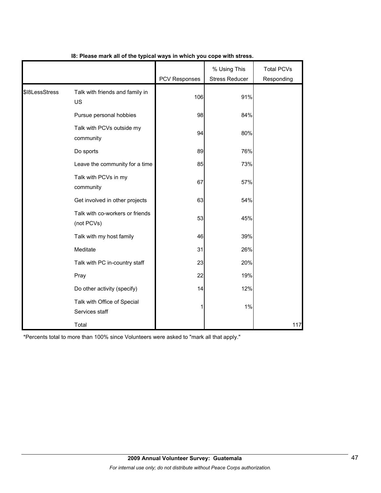|                |                                               | <b>PCV Responses</b> | % Using This<br><b>Stress Reducer</b> | <b>Total PCVs</b><br>Responding |
|----------------|-----------------------------------------------|----------------------|---------------------------------------|---------------------------------|
| \$18LessStress | Talk with friends and family in<br>US         | 106                  | 91%                                   |                                 |
|                | Pursue personal hobbies                       | 98                   | 84%                                   |                                 |
|                | Talk with PCVs outside my<br>community        | 94                   | 80%                                   |                                 |
|                | Do sports                                     | 89                   | 76%                                   |                                 |
|                | Leave the community for a time                | 85                   | 73%                                   |                                 |
|                | Talk with PCVs in my<br>community             | 67                   | 57%                                   |                                 |
|                | Get involved in other projects                | 63                   | 54%                                   |                                 |
|                | Talk with co-workers or friends<br>(not PCVs) | 53                   | 45%                                   |                                 |
|                | Talk with my host family                      | 46                   | 39%                                   |                                 |
|                | Meditate                                      | 31                   | 26%                                   |                                 |
|                | Talk with PC in-country staff                 | 23                   | 20%                                   |                                 |
|                | Pray                                          | 22                   | 19%                                   |                                 |
|                | Do other activity (specify)                   | 14                   | 12%                                   |                                 |
|                | Talk with Office of Special<br>Services staff |                      | 1%                                    |                                 |
|                | Total                                         |                      |                                       | 117                             |

## **I8: Please mark all of the typical ways in which you cope with stress.**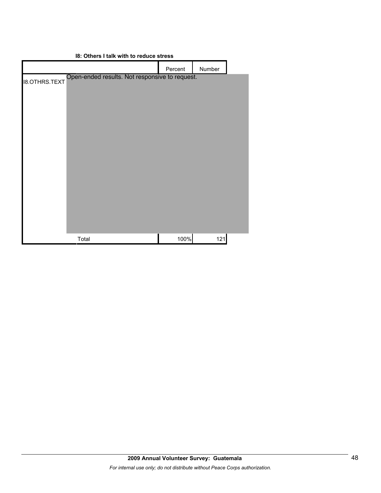| 10. Others I taik with to reduce stress |                                                |         |        |  |  |  |  |  |  |  |
|-----------------------------------------|------------------------------------------------|---------|--------|--|--|--|--|--|--|--|
|                                         |                                                | Percent | Number |  |  |  |  |  |  |  |
| <b>I8.OTHRS.TEXT</b>                    | Open-ended results. Not responsive to request. |         |        |  |  |  |  |  |  |  |
|                                         |                                                |         |        |  |  |  |  |  |  |  |
|                                         |                                                |         |        |  |  |  |  |  |  |  |
|                                         |                                                |         |        |  |  |  |  |  |  |  |
|                                         |                                                |         |        |  |  |  |  |  |  |  |
|                                         |                                                |         |        |  |  |  |  |  |  |  |
|                                         |                                                |         |        |  |  |  |  |  |  |  |
|                                         |                                                |         |        |  |  |  |  |  |  |  |
|                                         |                                                |         |        |  |  |  |  |  |  |  |
|                                         |                                                |         |        |  |  |  |  |  |  |  |
|                                         |                                                |         |        |  |  |  |  |  |  |  |
|                                         |                                                |         |        |  |  |  |  |  |  |  |
|                                         |                                                |         |        |  |  |  |  |  |  |  |
|                                         | Total                                          | 100%    | 121    |  |  |  |  |  |  |  |

## **I8: Others I talk with to reduce stress**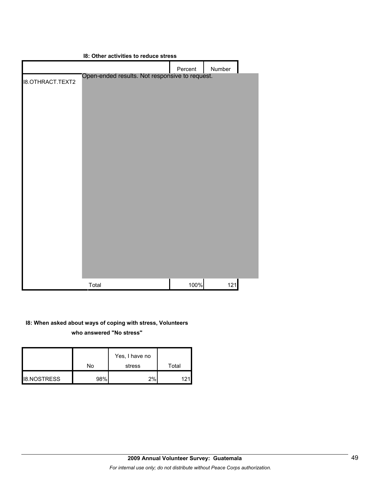| 18: Other activities to reduce stress |                                                |         |        |  |  |  |  |  |
|---------------------------------------|------------------------------------------------|---------|--------|--|--|--|--|--|
|                                       |                                                | Percent | Number |  |  |  |  |  |
| <b>I8.OTHRACT.TEXT2</b>               | Open-ended results. Not responsive to request. |         |        |  |  |  |  |  |
|                                       | Total                                          | 100%    | 121    |  |  |  |  |  |

## **I8: When asked about ways of coping with stress, Volunteers**

**who answered "No stress"** 

|                    | No  | Yes, I have no<br>stress | Total |
|--------------------|-----|--------------------------|-------|
| <b>I8.NOSTRESS</b> | 98% | 2%                       |       |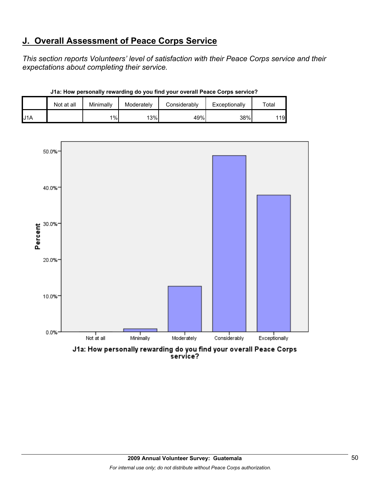# **J. Overall Assessment of Peace Corps Service**

*This section reports Volunteers' level of satisfaction with their Peace Corps service and their expectations about completing their service.* 

|                  | Not at all | Minimally | Moderately | Considerably | Exceptionally | $\tau$ otal |
|------------------|------------|-----------|------------|--------------|---------------|-------------|
| J <sub>1</sub> A |            | $1\%$     | 13%        | 49%          | 38%           | 119         |

**J1a: How personally rewarding do you find your overall Peace Corps service?**



J1a: How personally rewarding do you find your overall Peace Corps<br>service?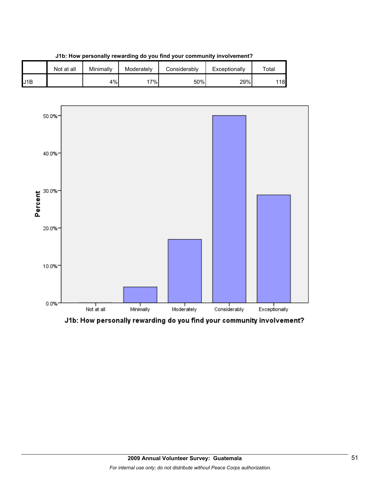

**J1b: How personally rewarding do you find your community involvement?**



J1b: How personally rewarding do you find your community involvement?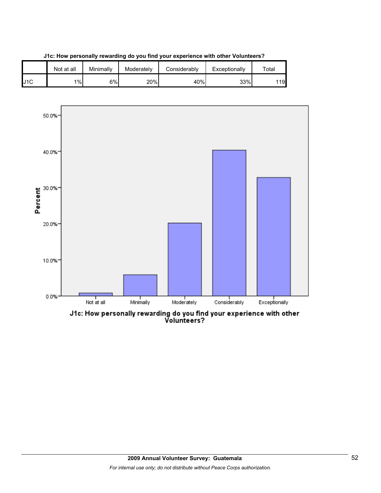





J1c: How personally rewarding do you find your experience with other<br>Volunteers?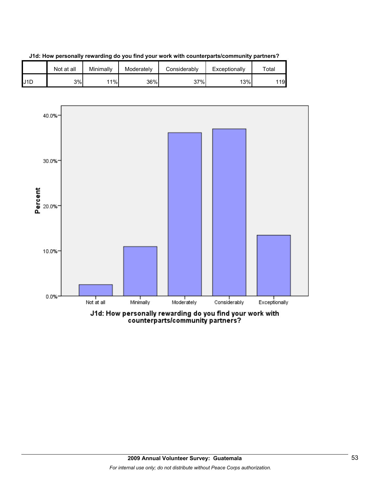

**J1d: How personally rewarding do you find your work with counterparts/community partners?**



counterparts/community partners?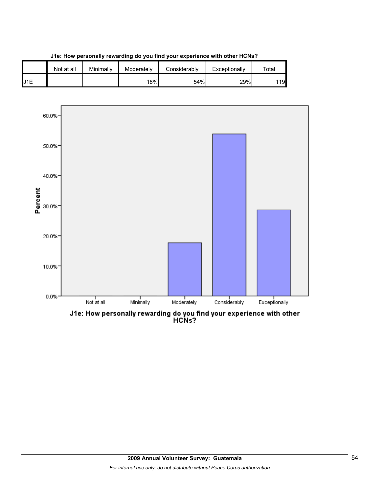

**J1e: How personally rewarding do you find your experience with other HCNs?**

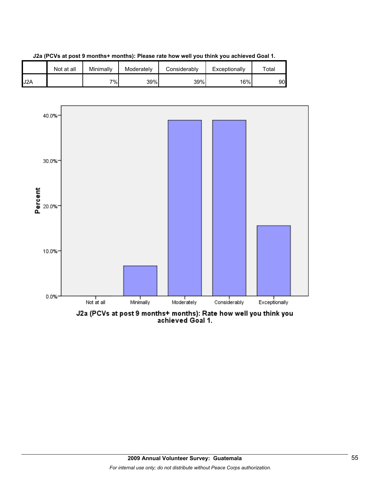

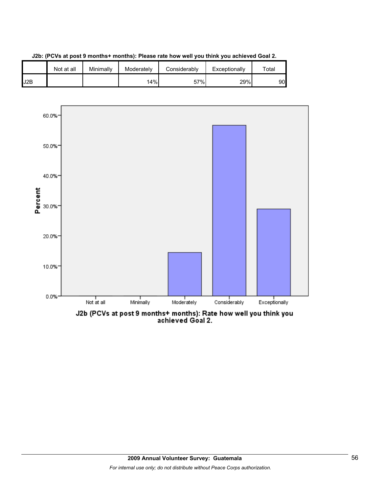

**J2b: (PCVs at post 9 months+ months): Please rate how well you think you achieved Goal 2.**

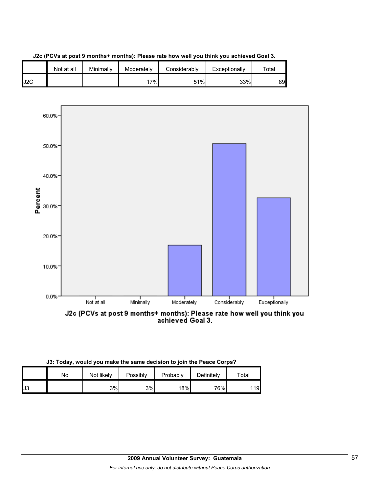





| J3: Today, would you make the same decision to join the Peace Corps? |  |  |  |  |  |
|----------------------------------------------------------------------|--|--|--|--|--|
|                                                                      |  |  |  |  |  |

|     | No | Not likely | Possibly<br>Probably |                  | Definitely | $\tau$ otal |
|-----|----|------------|----------------------|------------------|------------|-------------|
| IJ3 |    | 3%         | 3%                   | 18% <sub>1</sub> | 76%।       | 119         |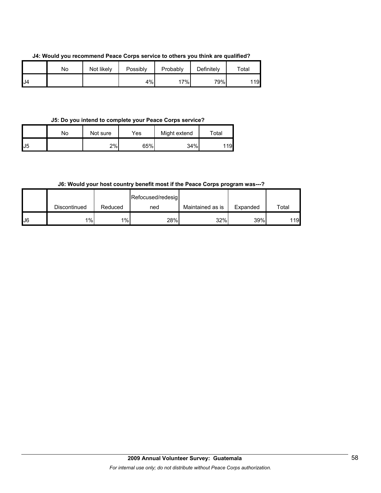**J4: Would you recommend Peace Corps service to others you think are qualified?**

|     | No | Not likely | Possibly | Probably | Definitely | Total |
|-----|----|------------|----------|----------|------------|-------|
| IJ4 |    |            | 4%       | 17%      | 79%        | 119   |

### **J5: Do you intend to complete your Peace Corps service?**

|                | No | Not sure | Yes | Might extend | Total |
|----------------|----|----------|-----|--------------|-------|
| U <sub>5</sub> |    | 2%       | 65% | 34%          | 19    |

### **J6: Would your host country benefit most if the Peace Corps program was---?**

|    |              |         | Refocused/redesig |                  |          |             |
|----|--------------|---------|-------------------|------------------|----------|-------------|
|    | Discontinued | Reduced | ned               | Maintained as is | Expanded | $\tau$ otal |
| J6 | $1\%$        | 1%      | 28%               | 32%              | 39%      | 119         |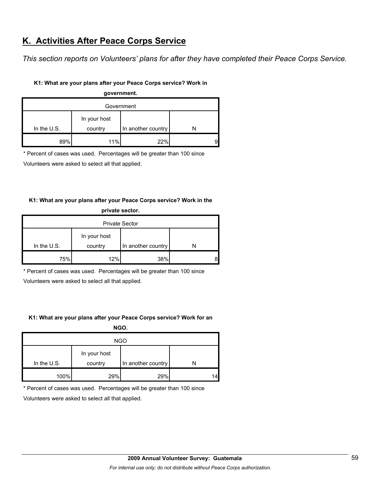# **K. Activities After Peace Corps Service**

*This section reports on Volunteers' plans for after they have completed their Peace Corps Service.* 

## **K1: What are your plans after your Peace Corps service? Work in**

| government.   |              |                    |  |  |  |  |  |
|---------------|--------------|--------------------|--|--|--|--|--|
| Government    |              |                    |  |  |  |  |  |
|               | In your host |                    |  |  |  |  |  |
| In the $U.S.$ | country      | In another country |  |  |  |  |  |
| 89%           | 11%          | 22%                |  |  |  |  |  |

\* Percent of cases was used. Percentages will be greater than 100 since

Volunteers were asked to select all that applied.

## **K1: What are your plans after your Peace Corps service? Work in the**

| private sector.       |              |                    |   |  |  |  |
|-----------------------|--------------|--------------------|---|--|--|--|
| <b>Private Sector</b> |              |                    |   |  |  |  |
|                       | In your host |                    |   |  |  |  |
| In the $U.S.$         | country      | In another country |   |  |  |  |
| 75%                   | 12%          | 38%                | 8 |  |  |  |

\* Percent of cases was used. Percentages will be greater than 100 since

Volunteers were asked to select all that applied.

## **K1: What are your plans after your Peace Corps service? Work for an**

**NGO.**

| <b>NGO</b>    |                         |                    |    |  |  |  |
|---------------|-------------------------|--------------------|----|--|--|--|
| In the $U.S.$ | In your host<br>country | In another country |    |  |  |  |
| 100%          | 29%                     | 29%                | 14 |  |  |  |

\* Percent of cases was used. Percentages will be greater than 100 since

Volunteers were asked to select all that applied.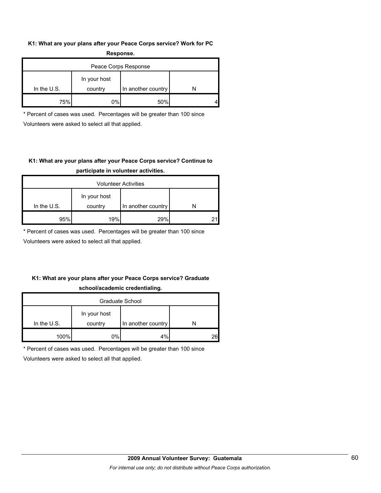### **K1: What are your plans after your Peace Corps service? Work for PC Response.**

| -----------          |                         |                    |  |  |  |  |  |
|----------------------|-------------------------|--------------------|--|--|--|--|--|
| Peace Corps Response |                         |                    |  |  |  |  |  |
| In the $U.S.$        | In your host<br>country | In another country |  |  |  |  |  |
| 75%                  | $0\%$                   | 50%                |  |  |  |  |  |

\* Percent of cases was used. Percentages will be greater than 100 since Volunteers were asked to select all that applied.

## **K1: What are your plans after your Peace Corps service? Continue to participate in volunteer activities.**

| <b>Volunteer Activities</b> |                         |                    |  |  |  |  |
|-----------------------------|-------------------------|--------------------|--|--|--|--|
| In the $U.S.$               | In your host<br>country | In another country |  |  |  |  |
| 95%                         | 19%                     | 29%                |  |  |  |  |

\* Percent of cases was used. Percentages will be greater than 100 since

Volunteers were asked to select all that applied.

## **K1: What are your plans after your Peace Corps service? Graduate school/academic credentialing.**

| Graduate School |            |                    |    |  |  |
|-----------------|------------|--------------------|----|--|--|
| In your host    |            |                    |    |  |  |
| In the $U.S.$   | country    | In another country |    |  |  |
| 100%            | $\gamma\%$ | 4%                 | 26 |  |  |

\* Percent of cases was used. Percentages will be greater than 100 since

Volunteers were asked to select all that applied.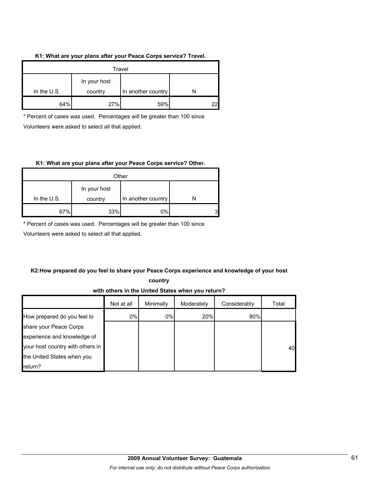### **K1: What are your plans after your Peace Corps service? Travel.**

| Travel        |                         |                    |  |  |  |  |
|---------------|-------------------------|--------------------|--|--|--|--|
| In the $U.S.$ | In your host<br>country | In another country |  |  |  |  |
| 64%           | 27%                     | 59%                |  |  |  |  |

\* Percent of cases was used. Percentages will be greater than 100 since Volunteers were asked to select all that applied.

### **K1: What are your plans after your Peace Corps service? Other.**

| Other         |                         |                    |   |  |  |  |
|---------------|-------------------------|--------------------|---|--|--|--|
| In the $U.S.$ | In your host<br>country | In another country |   |  |  |  |
| 67%           | 33%                     | 0%                 | 3 |  |  |  |

\* Percent of cases was used. Percentages will be greater than 100 since

Volunteers were asked to select all that applied.

## **K2:How prepared do you feel to share your Peace Corps experience and knowledge of your host**

**country** 

**with others in the United States when you return?**

|                                  | Not at all | Minimally | Moderately | Considerably | Total |
|----------------------------------|------------|-----------|------------|--------------|-------|
| How prepared do you feel to      | 0%         | 0%        | 20%        | 80%          |       |
| share your Peace Corps           |            |           |            |              |       |
| experience and knowledge of      |            |           |            |              |       |
| your host country with others in |            |           |            |              | 40    |
| the United States when you       |            |           |            |              |       |
| return?                          |            |           |            |              |       |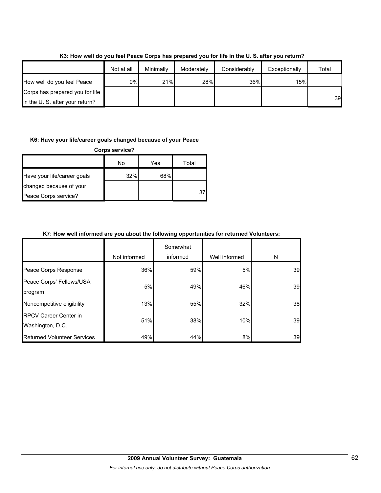|                                 | Not at all | Minimally | Moderately | Considerably | Exceptionally | Total |
|---------------------------------|------------|-----------|------------|--------------|---------------|-------|
| How well do you feel Peace      | 0%l        | 21%       | 28%        | 36%          | 15%           |       |
| Corps has prepared you for life |            |           |            |              |               |       |
| in the U. S. after your return? |            |           |            |              |               | 39    |

**K3: How well do you feel Peace Corps has prepared you for life in the U. S. after you return?**

### **K6: Have your life/career goals changed because of your Peace**

| <b>Corps service?</b>       |     |     |       |
|-----------------------------|-----|-----|-------|
|                             | No  | Yes | Total |
| Have your life/career goals | 32% | 68% |       |
| changed because of your     |     |     |       |
| Peace Corps service?        |     |     |       |

## **K7: How well informed are you about the following opportunities for returned Volunteers:**

|                                                  | Not informed | Somewhat<br>informed | Well informed | N  |
|--------------------------------------------------|--------------|----------------------|---------------|----|
| Peace Corps Response                             | 36%          | 59%                  | 5%            | 39 |
| Peace Corps' Fellows/USA<br>program              | 5%           | 49%                  | 46%           | 39 |
| Noncompetitive eligibility                       | 13%          | 55%                  | 32%           | 38 |
| <b>RPCV Career Center in</b><br>Washington, D.C. | 51%          | 38%                  | 10%           | 39 |
| <b>Returned Volunteer Services</b>               | 49%          | 44%                  | 8%            | 39 |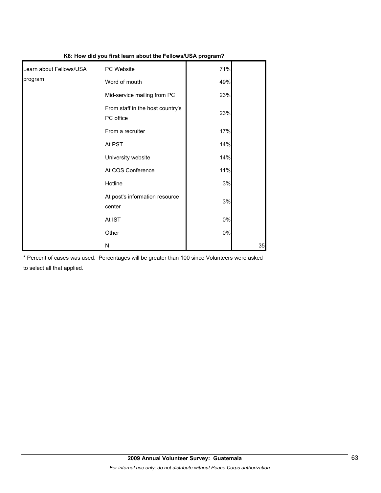| .                       |                                               |       |    |
|-------------------------|-----------------------------------------------|-------|----|
| Learn about Fellows/USA | PC Website                                    | 71%   |    |
| program                 | Word of mouth                                 | 49%   |    |
|                         | Mid-service mailing from PC                   | 23%   |    |
|                         | From staff in the host country's<br>PC office | 23%   |    |
|                         | From a recruiter                              | 17%   |    |
|                         | At PST                                        | 14%   |    |
|                         | University website                            | 14%   |    |
|                         | At COS Conference                             | 11%   |    |
|                         | Hotline                                       | 3%    |    |
|                         | At post's information resource<br>center      | 3%    |    |
|                         | At IST                                        | 0%    |    |
|                         | Other                                         | $0\%$ |    |
|                         | N                                             |       | 35 |

## **K8: How did you first learn about the Fellows/USA program?**

\* Percent of cases was used. Percentages will be greater than 100 since Volunteers were asked to select all that applied.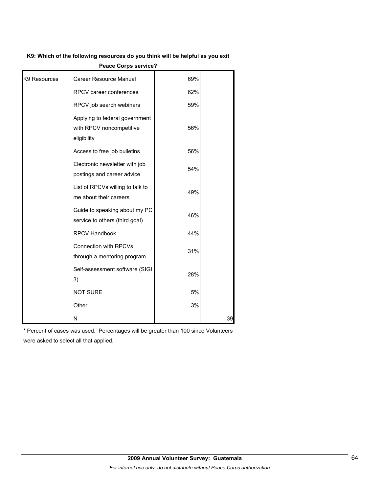#### **K9: Which of the following resources do you think will be helpful as you exit**

|              | <b>CALC ONING SELVICE:</b>                                                |     |    |
|--------------|---------------------------------------------------------------------------|-----|----|
| K9 Resources | <b>Career Resource Manual</b>                                             | 69% |    |
|              | RPCV career conferences                                                   | 62% |    |
|              | RPCV job search webinars                                                  | 59% |    |
|              | Applying to federal government<br>with RPCV noncompetitive<br>eligibility | 56% |    |
|              | Access to free job bulletins                                              | 56% |    |
|              | Electronic newsletter with job<br>postings and career advice              | 54% |    |
|              | List of RPCVs willing to talk to<br>me about their careers                | 49% |    |
|              | Guide to speaking about my PC<br>service to others (third goal)           | 46% |    |
|              | <b>RPCV Handbook</b>                                                      | 44% |    |
|              | <b>Connection with RPCVs</b><br>through a mentoring program               | 31% |    |
|              | Self-assessment software (SIGI<br>3)                                      | 28% |    |
|              | <b>NOT SURE</b>                                                           | 5%  |    |
|              | Other                                                                     | 3%  |    |
|              | N                                                                         |     | 39 |

**Peace Corps service?**

\* Percent of cases was used. Percentages will be greater than 100 since Volunteers were asked to select all that applied.